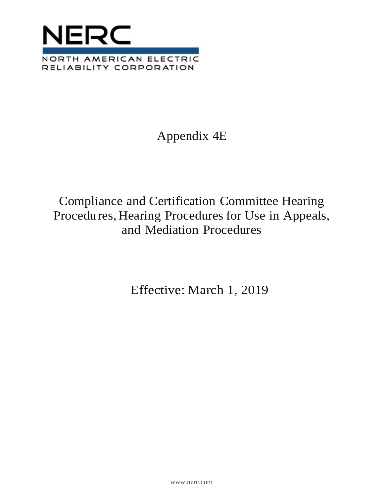

# Appendix 4E

## Compliance and Certification Committee Hearing Procedures, Hearing Procedures for Use in Appeals, and Mediation Procedures

Effective: March 1, 2019

[www.nerc.com](http://www.nerc.com/)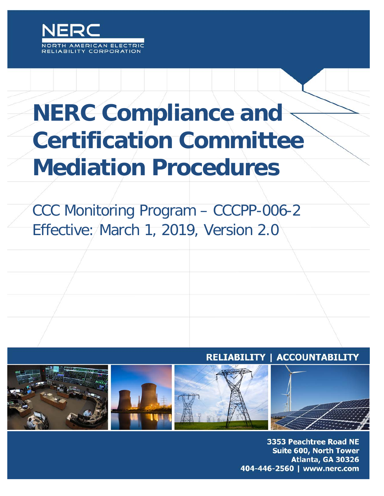

# **NERC Compliance and Certification Committee Mediation Procedures**

CCC Monitoring Program – CCCPP-006-2 Effective: March 1, 2019, Version 2.0





**3353 Peachtree Road NE NERC | Compliance and Certification Committee Mediation Procedures CCCPP-006-2 | March 1, 2019, Version 2.0** 404-446-2560 | www.nerc.com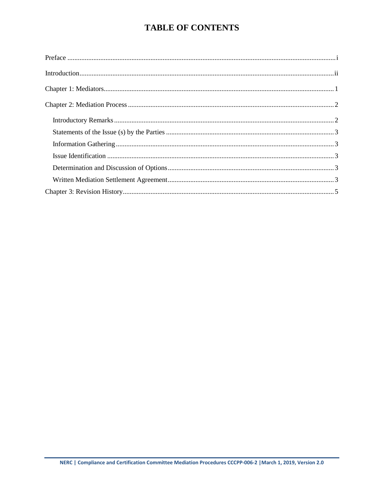## **TABLE OF CONTENTS**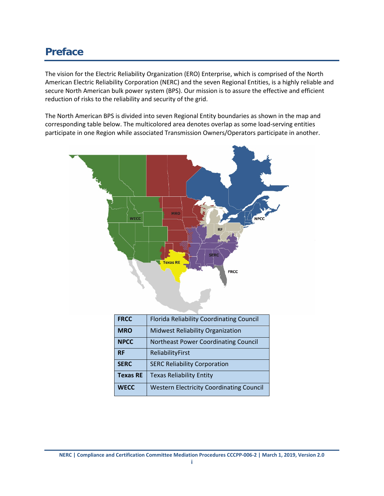## <span id="page-3-0"></span>**Preface**

The vision for the Electric Reliability Organization (ERO) Enterprise, which is comprised of the North American Electric Reliability Corporation (NERC) and the seven Regional Entities, is a highly reliable and secure North American bulk power system (BPS). Our mission is to assure the effective and efficient reduction of risks to the reliability and security of the grid.

The North American BPS is divided into seven Regional Entity boundaries as shown in the map and corresponding table below. The multicolored area denotes overlap as some load-serving entities participate in one Region while associated Transmission Owners/Operators participate in another.



| <b>FRCC</b>     | <b>Florida Reliability Coordinating Council</b> |
|-----------------|-------------------------------------------------|
| <b>MRO</b>      | Midwest Reliability Organization                |
| <b>NPCC</b>     | Northeast Power Coordinating Council            |
| <b>RF</b>       | ReliabilityFirst                                |
| <b>SERC</b>     | <b>SERC Reliability Corporation</b>             |
| <b>Texas RE</b> | <b>Texas Reliability Entity</b>                 |
| <b>WECC</b>     | <b>Western Electricity Coordinating Council</b> |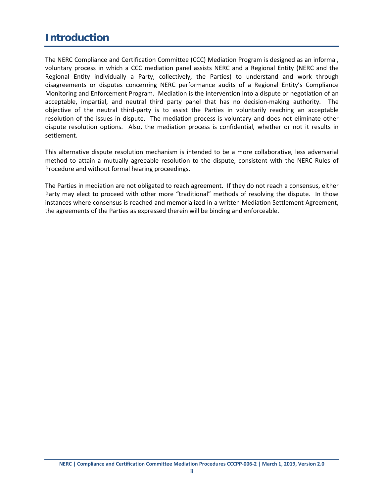## <span id="page-4-0"></span>**Introduction**

The NERC Compliance and Certification Committee (CCC) Mediation Program is designed as an informal, voluntary process in which a CCC mediation panel assists NERC and a Regional Entity (NERC and the Regional Entity individually a Party, collectively, the Parties) to understand and work through disagreements or disputes concerning NERC performance audits of a Regional Entity's Compliance Monitoring and Enforcement Program. Mediation is the intervention into a dispute or negotiation of an acceptable, impartial, and neutral third party panel that has no decision-making authority. The objective of the neutral third-party is to assist the Parties in voluntarily reaching an acceptable resolution of the issues in dispute. The mediation process is voluntary and does not eliminate other dispute resolution options. Also, the mediation process is confidential, whether or not it results in settlement.

This alternative dispute resolution mechanism is intended to be a more collaborative, less adversarial method to attain a mutually agreeable resolution to the dispute, consistent with the NERC Rules of Procedure and without formal hearing proceedings.

The Parties in mediation are not obligated to reach agreement. If they do not reach a consensus, either Party may elect to proceed with other more "traditional" methods of resolving the dispute. In those instances where consensus is reached and memorialized in a written Mediation Settlement Agreement, the agreements of the Parties as expressed therein will be binding and enforceable.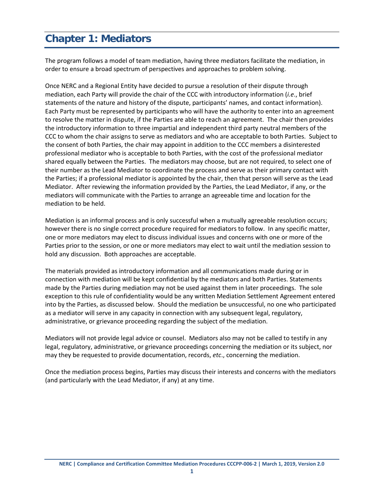## <span id="page-5-0"></span>**Chapter 1: Mediators**

The program follows a model of team mediation, having three mediators facilitate the mediation, in order to ensure a broad spectrum of perspectives and approaches to problem solving.

Once NERC and a Regional Entity have decided to pursue a resolution of their dispute through mediation, each Party will provide the chair of the CCC with introductory information (*i.e*., brief statements of the nature and history of the dispute, participants' names, and contact information). Each Party must be represented by participants who will have the authority to enter into an agreement to resolve the matter in dispute, if the Parties are able to reach an agreement. The chair then provides the introductory information to three impartial and independent third party neutral members of the CCC to whom the chair assigns to serve as mediators and who are acceptable to both Parties. Subject to the consent of both Parties, the chair may appoint in addition to the CCC members a disinterested professional mediator who is acceptable to both Parties, with the cost of the professional mediator shared equally between the Parties. The mediators may choose, but are not required, to select one of their number as the Lead Mediator to coordinate the process and serve as their primary contact with the Parties; if a professional mediator is appointed by the chair, then that person will serve as the Lead Mediator. After reviewing the information provided by the Parties, the Lead Mediator, if any, or the mediators will communicate with the Parties to arrange an agreeable time and location for the mediation to be held.

Mediation is an informal process and is only successful when a mutually agreeable resolution occurs; however there is no single correct procedure required for mediators to follow. In any specific matter, one or more mediators may elect to discuss individual issues and concerns with one or more of the Parties prior to the session, or one or more mediators may elect to wait until the mediation session to hold any discussion. Both approaches are acceptable.

The materials provided as introductory information and all communications made during or in connection with mediation will be kept confidential by the mediators and both Parties. Statements made by the Parties during mediation may not be used against them in later proceedings. The sole exception to this rule of confidentiality would be any written Mediation Settlement Agreement entered into by the Parties, as discussed below. Should the mediation be unsuccessful, no one who participated as a mediator will serve in any capacity in connection with any subsequent legal, regulatory, administrative, or grievance proceeding regarding the subject of the mediation.

Mediators will not provide legal advice or counsel. Mediators also may not be called to testify in any legal, regulatory, administrative, or grievance proceedings concerning the mediation or its subject, nor may they be requested to provide documentation, records, *etc*., concerning the mediation.

Once the mediation process begins, Parties may discuss their interests and concerns with the mediators (and particularly with the Lead Mediator, if any) at any time.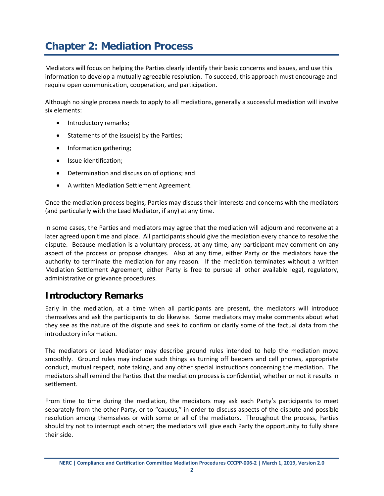## <span id="page-6-0"></span>**Chapter 2: Mediation Process**

Mediators will focus on helping the Parties clearly identify their basic concerns and issues, and use this information to develop a mutually agreeable resolution. To succeed, this approach must encourage and require open communication, cooperation, and participation.

Although no single process needs to apply to all mediations, generally a successful mediation will involve six elements:

- Introductory remarks;
- Statements of the issue(s) by the Parties;
- Information gathering;
- Issue identification;
- Determination and discussion of options; and
- A written Mediation Settlement Agreement.

Once the mediation process begins, Parties may discuss their interests and concerns with the mediators (and particularly with the Lead Mediator, if any) at any time.

In some cases, the Parties and mediators may agree that the mediation will adjourn and reconvene at a later agreed upon time and place. All participants should give the mediation every chance to resolve the dispute. Because mediation is a voluntary process, at any time, any participant may comment on any aspect of the process or propose changes. Also at any time, either Party or the mediators have the authority to terminate the mediation for any reason. If the mediation terminates without a written Mediation Settlement Agreement, either Party is free to pursue all other available legal, regulatory, administrative or grievance procedures.

### <span id="page-6-1"></span>**Introductory Remarks**

Early in the mediation, at a time when all participants are present, the mediators will introduce themselves and ask the participants to do likewise. Some mediators may make comments about what they see as the nature of the dispute and seek to confirm or clarify some of the factual data from the introductory information.

The mediators or Lead Mediator may describe ground rules intended to help the mediation move smoothly. Ground rules may include such things as turning off beepers and cell phones, appropriate conduct, mutual respect, note taking, and any other special instructions concerning the mediation. The mediators shall remind the Parties that the mediation process is confidential, whether or not it results in settlement.

From time to time during the mediation, the mediators may ask each Party's participants to meet separately from the other Party, or to "caucus," in order to discuss aspects of the dispute and possible resolution among themselves or with some or all of the mediators. Throughout the process, Parties should try not to interrupt each other; the mediators will give each Party the opportunity to fully share their side.

**NERC | Compliance and Certification Committee Mediation Procedures CCCPP-006-2 | March 1, 2019, Version 2.0**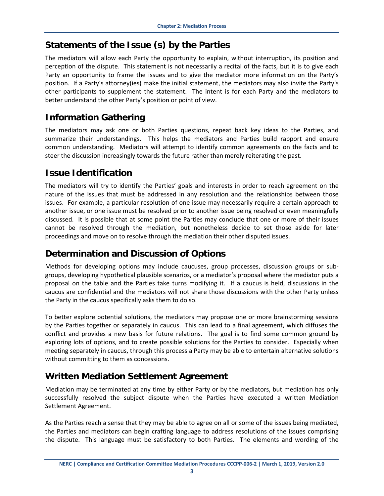## <span id="page-7-0"></span>**Statements of the Issue (s) by the Parties**

The mediators will allow each Party the opportunity to explain, without interruption, its position and perception of the dispute. This statement is not necessarily a recital of the facts, but it is to give each Party an opportunity to frame the issues and to give the mediator more information on the Party's position. If a Party's attorney(ies) make the initial statement, the mediators may also invite the Party's other participants to supplement the statement. The intent is for each Party and the mediators to better understand the other Party's position or point of view.

## <span id="page-7-1"></span>**Information Gathering**

The mediators may ask one or both Parties questions, repeat back key ideas to the Parties, and summarize their understandings. This helps the mediators and Parties build rapport and ensure common understanding. Mediators will attempt to identify common agreements on the facts and to steer the discussion increasingly towards the future rather than merely reiterating the past.

## <span id="page-7-2"></span>**Issue Identification**

The mediators will try to identify the Parties' goals and interests in order to reach agreement on the nature of the issues that must be addressed in any resolution and the relationships between those issues. For example, a particular resolution of one issue may necessarily require a certain approach to another issue, or one issue must be resolved prior to another issue being resolved or even meaningfully discussed. It is possible that at some point the Parties may conclude that one or more of their issues cannot be resolved through the mediation, but nonetheless decide to set those aside for later proceedings and move on to resolve through the mediation their other disputed issues.

## <span id="page-7-3"></span>**Determination and Discussion of Options**

Methods for developing options may include caucuses, group processes, discussion groups or subgroups, developing hypothetical plausible scenarios, or a mediator's proposal where the mediator puts a proposal on the table and the Parties take turns modifying it. If a caucus is held, discussions in the caucus are confidential and the mediators will not share those discussions with the other Party unless the Party in the caucus specifically asks them to do so.

To better explore potential solutions, the mediators may propose one or more brainstorming sessions by the Parties together or separately in caucus. This can lead to a final agreement, which diffuses the conflict and provides a new basis for future relations. The goal is to find some common ground by exploring lots of options, and to create possible solutions for the Parties to consider. Especially when meeting separately in caucus, through this process a Party may be able to entertain alternative solutions without committing to them as concessions.

## <span id="page-7-4"></span>**Written Mediation Settlement Agreement**

Mediation may be terminated at any time by either Party or by the mediators, but mediation has only successfully resolved the subject dispute when the Parties have executed a written Mediation Settlement Agreement.

As the Parties reach a sense that they may be able to agree on all or some of the issues being mediated, the Parties and mediators can begin crafting language to address resolutions of the issues comprising the dispute. This language must be satisfactory to both Parties. The elements and wording of the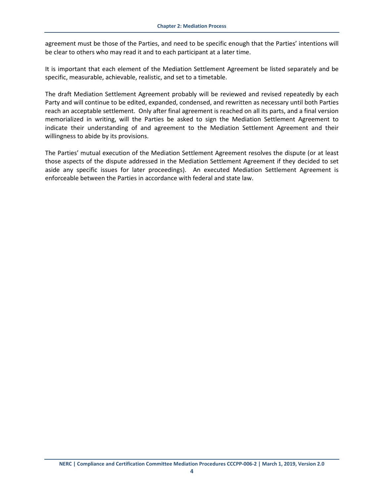agreement must be those of the Parties, and need to be specific enough that the Parties' intentions will be clear to others who may read it and to each participant at a later time.

It is important that each element of the Mediation Settlement Agreement be listed separately and be specific, measurable, achievable, realistic, and set to a timetable.

The draft Mediation Settlement Agreement probably will be reviewed and revised repeatedly by each Party and will continue to be edited, expanded, condensed, and rewritten as necessary until both Parties reach an acceptable settlement. Only after final agreement is reached on all its parts, and a final version memorialized in writing, will the Parties be asked to sign the Mediation Settlement Agreement to indicate their understanding of and agreement to the Mediation Settlement Agreement and their willingness to abide by its provisions.

The Parties' mutual execution of the Mediation Settlement Agreement resolves the dispute (or at least those aspects of the dispute addressed in the Mediation Settlement Agreement if they decided to set aside any specific issues for later proceedings). An executed Mediation Settlement Agreement is enforceable between the Parties in accordance with federal and state law.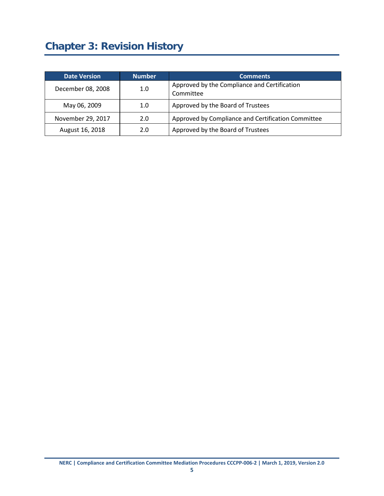## <span id="page-9-0"></span>**Chapter 3: Revision History**

| <b>Date Version</b> | <b>Number</b> | <b>Comments</b>                                           |
|---------------------|---------------|-----------------------------------------------------------|
| December 08, 2008   | 1.0           | Approved by the Compliance and Certification<br>Committee |
| May 06, 2009        | 1.0           | Approved by the Board of Trustees                         |
| November 29, 2017   | 2.0           | Approved by Compliance and Certification Committee        |
| August 16, 2018     | 2.0           | Approved by the Board of Trustees                         |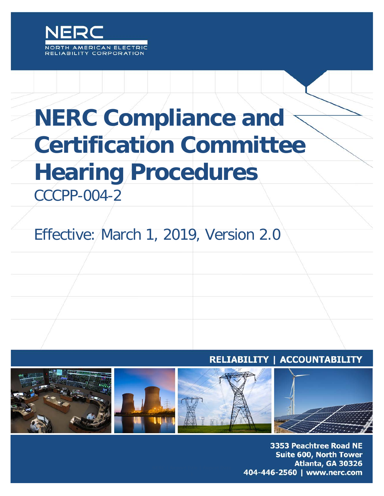

# **NERC Compliance and Certification Committee Hearing Procedures**

CCCPP-004-2

# Effective: March 1, 2019, Version 2.0

## **RELIABILITY | ACCOUNTABILITY**



3353 Peachtree Road NE **Suite 600, North Tower** Atlanta, GA 30326 404-446-2560 | www.nerc.com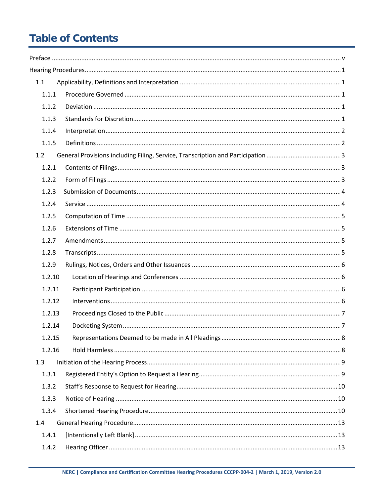## **Table of Contents**

| 1.1    |  |
|--------|--|
| 1.1.1  |  |
| 1.1.2  |  |
| 1.1.3  |  |
| 1.1.4  |  |
| 1.1.5  |  |
| 1.2    |  |
| 1.2.1  |  |
| 1.2.2  |  |
| 1.2.3  |  |
| 1.2.4  |  |
| 1.2.5  |  |
| 1.2.6  |  |
| 1.2.7  |  |
| 1.2.8  |  |
| 1.2.9  |  |
| 1.2.10 |  |
| 1.2.11 |  |
| 1.2.12 |  |
| 1.2.13 |  |
| 1.2.14 |  |
| 1.2.15 |  |
| 1.2.16 |  |
| 1.3    |  |
| 1.3.1  |  |
| 1.3.2  |  |
| 1.3.3  |  |
| 1.3.4  |  |
| 1.4    |  |
| 1.4.1  |  |
| 1.4.2  |  |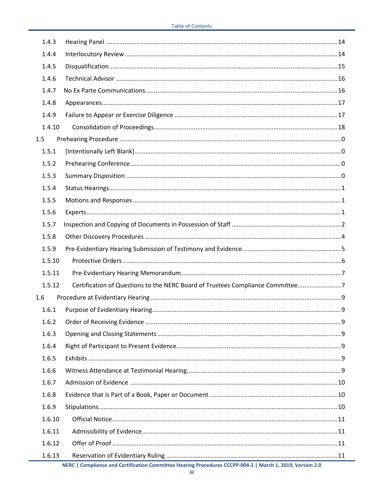| 1.4.4                                                                                    |  |  |
|------------------------------------------------------------------------------------------|--|--|
|                                                                                          |  |  |
| 1.4.5                                                                                    |  |  |
| 1.4.6                                                                                    |  |  |
| 1.4.7                                                                                    |  |  |
| 1.4.8                                                                                    |  |  |
| 1.4.9                                                                                    |  |  |
| 1.4.10                                                                                   |  |  |
| 1.5                                                                                      |  |  |
| 1.5.1                                                                                    |  |  |
| 1.5.2                                                                                    |  |  |
| 1.5.3                                                                                    |  |  |
| 1.5.4                                                                                    |  |  |
| 1.5.5                                                                                    |  |  |
| 1.5.6                                                                                    |  |  |
| 1.5.7                                                                                    |  |  |
| 1.5.8                                                                                    |  |  |
| 1.5.9                                                                                    |  |  |
| 1.5.10                                                                                   |  |  |
| 1.5.11                                                                                   |  |  |
| Certification of Questions to the NERC Board of Trustees Compliance Committee7<br>1.5.12 |  |  |
| 1.6                                                                                      |  |  |
| 1.6.1                                                                                    |  |  |
| 1.6.2                                                                                    |  |  |
| 1.6.3                                                                                    |  |  |
| 1.6.4                                                                                    |  |  |
| 1.6.5                                                                                    |  |  |
| 1.6.6                                                                                    |  |  |
| 1.6.7                                                                                    |  |  |
| 1.6.8                                                                                    |  |  |
| 1.6.9                                                                                    |  |  |
| 1.6.10                                                                                   |  |  |
| 1.6.11                                                                                   |  |  |
| 1.6.12                                                                                   |  |  |
| 1.6.13                                                                                   |  |  |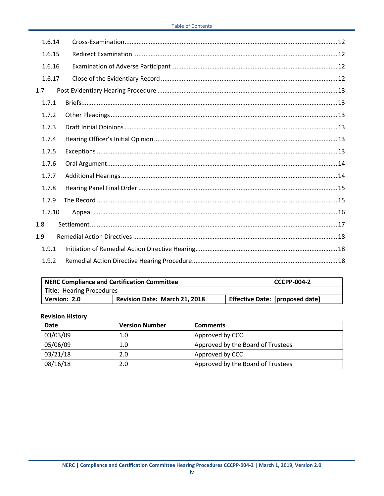| 1.6.14 |  |  |  |
|--------|--|--|--|
| 1.6.15 |  |  |  |
| 1.6.16 |  |  |  |
| 1.6.17 |  |  |  |
| 1.7    |  |  |  |
| 1.7.1  |  |  |  |
| 1.7.2  |  |  |  |
| 1.7.3  |  |  |  |
| 1.7.4  |  |  |  |
| 1.7.5  |  |  |  |
| 1.7.6  |  |  |  |
| 1.7.7  |  |  |  |
| 1.7.8  |  |  |  |
| 1.7.9  |  |  |  |
| 1.7.10 |  |  |  |
| 1.8    |  |  |  |
| 1.9    |  |  |  |
| 1.9.1  |  |  |  |
| 1.9.2  |  |  |  |

| <b>NERC Compliance and Certification Committee</b><br><b>CCCPP-004-2</b> |                               |  |                                        |
|--------------------------------------------------------------------------|-------------------------------|--|----------------------------------------|
| <b>Title: Hearing Procedures</b>                                         |                               |  |                                        |
| Version: 2.0                                                             | Revision Date: March 21, 2018 |  | <b>Effective Date: [proposed date]</b> |

#### **Revision History**

| <b>Date</b> | <b>Version Number</b> | <b>Comments</b>                   |
|-------------|-----------------------|-----------------------------------|
| 03/03/09    | 1.0                   | Approved by CCC                   |
| 05/06/09    | 1.0                   | Approved by the Board of Trustees |
| 03/21/18    | 2.0                   | Approved by CCC                   |
| 08/16/18    | 2.0                   | Approved by the Board of Trustees |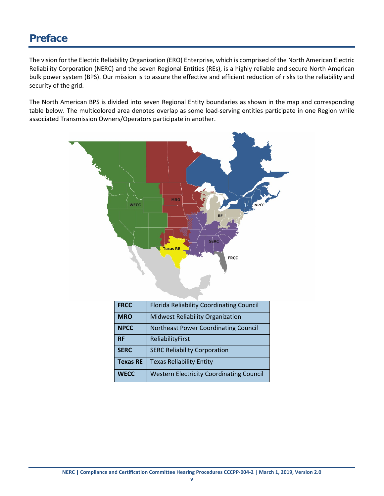## <span id="page-14-0"></span>**Preface**

The vision for the Electric Reliability Organization (ERO) Enterprise, which is comprised of the North American Electric Reliability Corporation (NERC) and the seven Regional Entities (REs), is a highly reliable and secure North American bulk power system (BPS). Our mission is to assure the effective and efficient reduction of risks to the reliability and security of the grid.

The North American BPS is divided into seven Regional Entity boundaries as shown in the map and corresponding table below. The multicolored area denotes overlap as some load-serving entities participate in one Region while associated Transmission Owners/Operators participate in another.



| <b>FRCC</b>     | <b>Florida Reliability Coordinating Council</b> |
|-----------------|-------------------------------------------------|
| <b>MRO</b>      | <b>Midwest Reliability Organization</b>         |
| <b>NPCC</b>     | Northeast Power Coordinating Council            |
| <b>RF</b>       | ReliabilityFirst                                |
| <b>SERC</b>     | <b>SERC Reliability Corporation</b>             |
| <b>Texas RE</b> | <b>Texas Reliability Entity</b>                 |
| <b>WECC</b>     | <b>Western Electricity Coordinating Council</b> |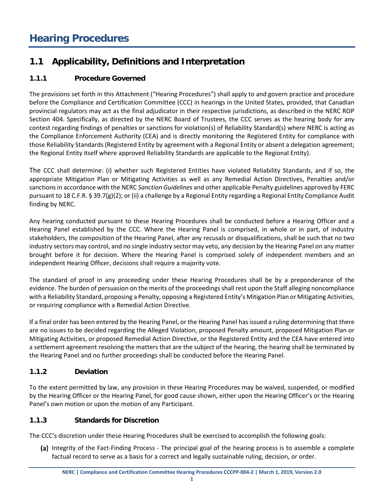## <span id="page-15-1"></span><span id="page-15-0"></span>**1.1 Applicability, Definitions and Interpretation**

#### <span id="page-15-2"></span>**1.1.1 Procedure Governed**

The provisions set forth in this Attachment ("Hearing Procedures") shall apply to and govern practice and procedure before the Compliance and Certification Committee (CCC) in hearings in the United States, provided, that Canadian provincial regulators may act as the final adjudicator in their respective jurisdictions, as described in the NERC ROP Section 404. Specifically, as directed by the NERC Board of Trustees, the CCC serves as the hearing body for any contest regarding findings of penalties or sanctions for violation(s) of Reliability Standard(s) where NERC is acting as the Compliance Enforcement Authority (CEA) and is directly monitoring the Registered Entity for compliance with those Reliability Standards (Registered Entity by agreement with a Regional Entity or absent a delegation agreement; the Regional Entity itself where approved Reliability Standards are applicable to the Regional Entity).

The CCC shall determine: (i) whether such Registered Entities have violated Reliability Standards, and if so, the appropriate Mitigation Plan or Mitigating Activities as well as any Remedial Action Directives, Penalties and/or sanctions in accordance with the NERC *Sanction Guidelines* and other applicable Penalty guidelines approved by FERC pursuant to 18 C.F.R. § 39.7(g)(2); or (ii) a challenge by a Regional Entity regarding a Regional Entity Compliance Audit finding by NERC.

Any hearing conducted pursuant to these Hearing Procedures shall be conducted before a Hearing Officer and a Hearing Panel established by the CCC. Where the Hearing Panel is comprised, in whole or in part, of industry stakeholders, the composition of the Hearing Panel, after any recusals or disqualifications, shall be such that no two industry sectors may control, and no single industry sector may veto, any decision by the Hearing Panel on any matter brought before it for decision. Where the Hearing Panel is comprised solely of independent members and an independent Hearing Officer, decisions shall require a majority vote.

The standard of proof in any proceeding under these Hearing Procedures shall be by a preponderance of the evidence. The burden of persuasion on the merits of the proceedings shall rest upon the Staff alleging noncompliance with a Reliability Standard, proposing a Penalty, opposing a Registered Entity's Mitigation Plan or Mitigating Activities, or requiring compliance with a Remedial Action Directive.

If a final order has been entered by the Hearing Panel, or the Hearing Panel has issued a ruling determining that there are no issues to be decided regarding the Alleged Violation, proposed Penalty amount, proposed Mitigation Plan or Mitigating Activities, or proposed Remedial Action Directive, or the Registered Entity and the CEA have entered into a settlement agreement resolving the matters that are the subject of the hearing, the hearing shall be terminated by the Hearing Panel and no further proceedings shall be conducted before the Hearing Panel.

#### <span id="page-15-3"></span>**1.1.2 Deviation**

To the extent permitted by law, any provision in these Hearing Procedures may be waived, suspended, or modified by the Hearing Officer or the Hearing Panel, for good cause shown, either upon the Hearing Officer's or the Hearing Panel's own motion or upon the motion of any Participant.

#### <span id="page-15-4"></span>**1.1.3 Standards for Discretion**

The CCC's discretion under these Hearing Procedures shall be exercised to accomplish the following goals:

(a) Integrity of the Fact-Finding Process - The principal goal of the hearing process is to assemble a complete factual record to serve as a basis for a correct and legally sustainable ruling, decision, or order.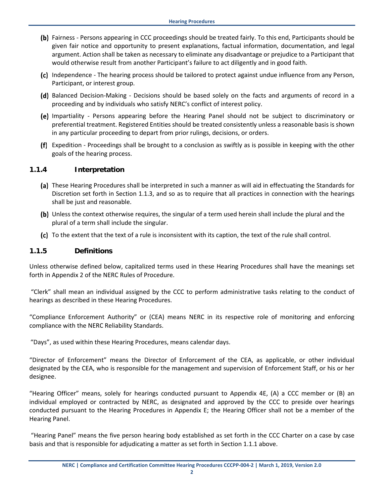- (b) Fairness Persons appearing in CCC proceedings should be treated fairly. To this end, Participants should be given fair notice and opportunity to present explanations, factual information, documentation, and legal argument. Action shall be taken as necessary to eliminate any disadvantage or prejudice to a Participant that would otherwise result from another Participant's failure to act diligently and in good faith.
- (c) Independence The hearing process should be tailored to protect against undue influence from any Person, Participant, or interest group.
- (d) Balanced Decision-Making Decisions should be based solely on the facts and arguments of record in a proceeding and by individuals who satisfy NERC's conflict of interest policy.
- (e) Impartiality Persons appearing before the Hearing Panel should not be subject to discriminatory or preferential treatment. Registered Entities should be treated consistently unless a reasonable basis is shown in any particular proceeding to depart from prior rulings, decisions, or orders.
- Expedition Proceedings shall be brought to a conclusion as swiftly as is possible in keeping with the other goals of the hearing process.

#### <span id="page-16-0"></span>**1.1.4 Interpretation**

- (a) These Hearing Procedures shall be interpreted in such a manner as will aid in effectuating the Standards for Discretion set forth in Section 1.1.3, and so as to require that all practices in connection with the hearings shall be just and reasonable.
- (b) Unless the context otherwise requires, the singular of a term used herein shall include the plural and the plural of a term shall include the singular.
- To the extent that the text of a rule is inconsistent with its caption, the text of the rule shall control.

#### <span id="page-16-1"></span>**1.1.5 Definitions**

Unless otherwise defined below, capitalized terms used in these Hearing Procedures shall have the meanings set forth in Appendix 2 of the NERC Rules of Procedure.

"Clerk" shall mean an individual assigned by the CCC to perform administrative tasks relating to the conduct of hearings as described in these Hearing Procedures.

"Compliance Enforcement Authority" or (CEA) means NERC in its respective role of monitoring and enforcing compliance with the NERC Reliability Standards.

"Days", as used within these Hearing Procedures, means calendar days.

"Director of Enforcement" means the Director of Enforcement of the CEA, as applicable, or other individual designated by the CEA, who is responsible for the management and supervision of Enforcement Staff, or his or her designee.

"Hearing Officer" means, solely for hearings conducted pursuant to Appendix 4E, (A) a CCC member or (B) an individual employed or contracted by NERC, as designated and approved by the CCC to preside over hearings conducted pursuant to the Hearing Procedures in Appendix E; the Hearing Officer shall not be a member of the Hearing Panel.

"Hearing Panel" means the five person hearing body established as set forth in the CCC Charter on a case by case basis and that is responsible for adjudicating a matter as set forth in Section 1.1.1 above.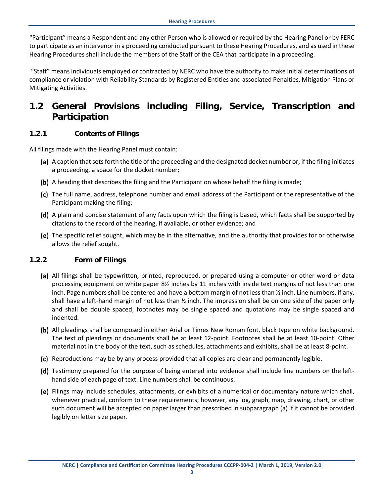"Participant" means a Respondent and any other Person who is allowed or required by the Hearing Panel or by FERC to participate as an intervenor in a proceeding conducted pursuant to these Hearing Procedures, and as used in these Hearing Procedures shall include the members of the Staff of the CEA that participate in a proceeding.

"Staff" means individuals employed or contracted by NERC who have the authority to make initial determinations of compliance or violation with Reliability Standards by Registered Entities and associated Penalties, Mitigation Plans or Mitigating Activities.

## <span id="page-17-0"></span>**1.2 General Provisions including Filing, Service, Transcription and Participation**

#### <span id="page-17-1"></span>**1.2.1 Contents of Filings**

All filings made with the Hearing Panel must contain:

- (a) A caption that sets forth the title of the proceeding and the designated docket number or, if the filing initiates a proceeding, a space for the docket number;
- (b) A heading that describes the filing and the Participant on whose behalf the filing is made;
- (c) The full name, address, telephone number and email address of the Participant or the representative of the Participant making the filing;
- A plain and concise statement of any facts upon which the filing is based, which facts shall be supported by citations to the record of the hearing, if available, or other evidence; and
- (e) The specific relief sought, which may be in the alternative, and the authority that provides for or otherwise allows the relief sought.

#### <span id="page-17-2"></span>**1.2.2 Form of Filings**

- (a) All filings shall be typewritten, printed, reproduced, or prepared using a computer or other word or data processing equipment on white paper 8½ inches by 11 inches with inside text margins of not less than one inch. Page numbers shall be centered and have a bottom margin of not less than ½ inch. Line numbers, if any, shall have a left-hand margin of not less than ½ inch. The impression shall be on one side of the paper only and shall be double spaced; footnotes may be single spaced and quotations may be single spaced and indented.
- (b) All pleadings shall be composed in either Arial or Times New Roman font, black type on white background. The text of pleadings or documents shall be at least 12-point. Footnotes shall be at least 10-point. Other material not in the body of the text, such as schedules, attachments and exhibits, shall be at least 8-point.
- (c) Reproductions may be by any process provided that all copies are clear and permanently legible.
- (d) Testimony prepared for the purpose of being entered into evidence shall include line numbers on the lefthand side of each page of text. Line numbers shall be continuous.
- Filings may include schedules, attachments, or exhibits of a numerical or documentary nature which shall, whenever practical, conform to these requirements; however, any log, graph, map, drawing, chart, or other such document will be accepted on paper larger than prescribed in subparagraph (a) if it cannot be provided legibly on letter size paper.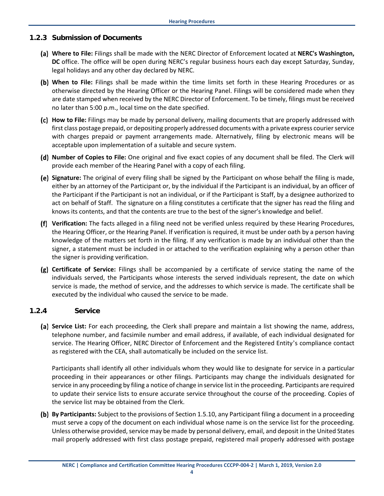#### <span id="page-18-0"></span>**1.2.3 Submission of Documents**

- **Where to File:** Filings shall be made with the NERC Director of Enforcement located at **NERC's Washington, DC** office. The office will be open during NERC's regular business hours each day except Saturday, Sunday, legal holidays and any other day declared by NERC.
- **When to File:** Filings shall be made within the time limits set forth in these Hearing Procedures or as otherwise directed by the Hearing Officer or the Hearing Panel. Filings will be considered made when they are date stamped when received by the NERC Director of Enforcement. To be timely, filings must be received no later than 5:00 p.m., local time on the date specified.
- **How to File:** Filings may be made by personal delivery, mailing documents that are properly addressed with first class postage prepaid, or depositing properly addressed documents with a private express courier service with charges prepaid or payment arrangements made. Alternatively, filing by electronic means will be acceptable upon implementation of a suitable and secure system.
- **Number of Copies to File:** One original and five exact copies of any document shall be filed. The Clerk will provide each member of the Hearing Panel with a copy of each filing.
- **Signature:** The original of every filing shall be signed by the Participant on whose behalf the filing is made, either by an attorney of the Participant or, by the individual if the Participant is an individual, by an officer of the Participant if the Participant is not an individual, or if the Participant is Staff, by a designee authorized to act on behalf of Staff.The signature on a filing constitutes a certificate that the signer has read the filing and knows its contents, and that the contents are true to the best of the signer's knowledge and belief.
- **Verification:** The facts alleged in a filing need not be verified unless required by these Hearing Procedures, the Hearing Officer, or the Hearing Panel. If verification is required, it must be under oath by a person having knowledge of the matters set forth in the filing. If any verification is made by an individual other than the signer, a statement must be included in or attached to the verification explaining why a person other than the signer is providing verification.
- **Certificate of Service:** Filings shall be accompanied by a certificate of service stating the name of the individuals served, the Participants whose interests the served individuals represent, the date on which service is made, the method of service, and the addresses to which service is made. The certificate shall be executed by the individual who caused the service to be made.

#### <span id="page-18-1"></span>**1.2.4 Service**

**Service List:** For each proceeding, the Clerk shall prepare and maintain a list showing the name, address, telephone number, and facsimile number and email address, if available, of each individual designated for service. The Hearing Officer, NERC Director of Enforcement and the Registered Entity's compliance contact as registered with the CEA, shall automatically be included on the service list.

Participants shall identify all other individuals whom they would like to designate for service in a particular proceeding in their appearances or other filings. Participants may change the individuals designated for service in any proceeding by filing a notice of change in service list in the proceeding. Participants are required to update their service lists to ensure accurate service throughout the course of the proceeding. Copies of the service list may be obtained from the Clerk.

**By Participants:** Subject to the provisions of Section 1.5.10, any Participant filing a document in a proceeding must serve a copy of the document on each individual whose name is on the service list for the proceeding. Unless otherwise provided, service may be made by personal delivery, email, and deposit in the United States mail properly addressed with first class postage prepaid, registered mail properly addressed with postage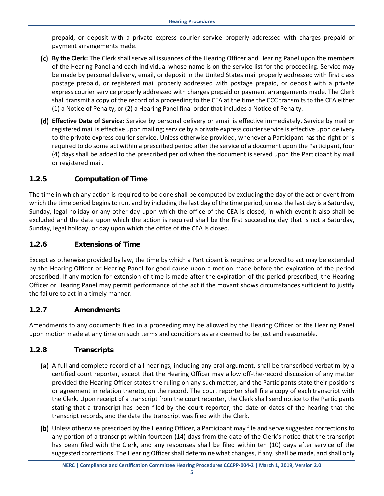prepaid, or deposit with a private express courier service properly addressed with charges prepaid or payment arrangements made.

- **By the Clerk:** The Clerk shall serve all issuances of the Hearing Officer and Hearing Panel upon the members of the Hearing Panel and each individual whose name is on the service list for the proceeding. Service may be made by personal delivery, email, or deposit in the United States mail properly addressed with first class postage prepaid, or registered mail properly addressed with postage prepaid, or deposit with a private express courier service properly addressed with charges prepaid or payment arrangements made. The Clerk shall transmit a copy of the record of a proceeding to the CEA at the time the CCC transmits to the CEA either (1) a Notice of Penalty, or (2) a Hearing Panel final order that includes a Notice of Penalty.
- **Effective Date of Service:** Service by personal delivery or email is effective immediately. Service by mail or registered mail is effective upon mailing; service by a private express courier service is effective upon delivery to the private express courier service. Unless otherwise provided, whenever a Participant has the right or is required to do some act within a prescribed period after the service of a document upon the Participant, four (4) days shall be added to the prescribed period when the document is served upon the Participant by mail or registered mail.

#### <span id="page-19-0"></span>**1.2.5 Computation of Time**

The time in which any action is required to be done shall be computed by excluding the day of the act or event from which the time period begins to run, and by including the last day of the time period, unless the last day is a Saturday, Sunday, legal holiday or any other day upon which the office of the CEA is closed, in which event it also shall be excluded and the date upon which the action is required shall be the first succeeding day that is not a Saturday, Sunday, legal holiday, or day upon which the office of the CEA is closed.

#### <span id="page-19-1"></span>**1.2.6 Extensions of Time**

Except as otherwise provided by law, the time by which a Participant is required or allowed to act may be extended by the Hearing Officer or Hearing Panel for good cause upon a motion made before the expiration of the period prescribed. If any motion for extension of time is made after the expiration of the period prescribed, the Hearing Officer or Hearing Panel may permit performance of the act if the movant shows circumstances sufficient to justify the failure to act in a timely manner.

#### <span id="page-19-2"></span>**1.2.7 Amendments**

Amendments to any documents filed in a proceeding may be allowed by the Hearing Officer or the Hearing Panel upon motion made at any time on such terms and conditions as are deemed to be just and reasonable.

#### <span id="page-19-3"></span>**1.2.8 Transcripts**

- (a) A full and complete record of all hearings, including any oral argument, shall be transcribed verbatim by a certified court reporter, except that the Hearing Officer may allow off-the-record discussion of any matter provided the Hearing Officer states the ruling on any such matter, and the Participants state their positions or agreement in relation thereto, on the record. The court reporter shall file a copy of each transcript with the Clerk. Upon receipt of a transcript from the court reporter, the Clerk shall send notice to the Participants stating that a transcript has been filed by the court reporter, the date or dates of the hearing that the transcript records, and the date the transcript was filed with the Clerk.
- Unless otherwise prescribed by the Hearing Officer, a Participant may file and serve suggested corrections to any portion of a transcript within fourteen (14) days from the date of the Clerk's notice that the transcript has been filed with the Clerk, and any responses shall be filed within ten (10) days after service of the suggested corrections. The Hearing Officer shall determine what changes, if any, shall be made, and shall only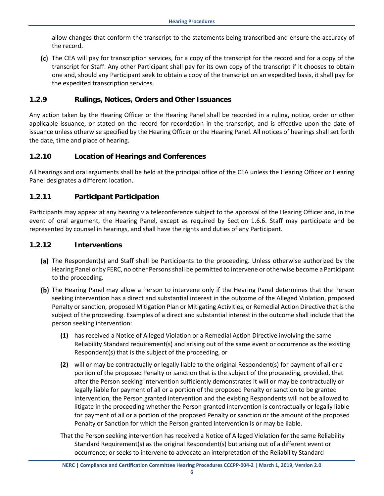allow changes that conform the transcript to the statements being transcribed and ensure the accuracy of the record.

(c) The CEA will pay for transcription services, for a copy of the transcript for the record and for a copy of the transcript for Staff. Any other Participant shall pay for its own copy of the transcript if it chooses to obtain one and, should any Participant seek to obtain a copy of the transcript on an expedited basis, it shall pay for the expedited transcription services.

#### <span id="page-20-0"></span>**1.2.9 Rulings, Notices, Orders and Other Issuances**

Any action taken by the Hearing Officer or the Hearing Panel shall be recorded in a ruling, notice, order or other applicable issuance, or stated on the record for recordation in the transcript, and is effective upon the date of issuance unless otherwise specified by the Hearing Officer or the Hearing Panel. All notices of hearings shall set forth the date, time and place of hearing.

#### <span id="page-20-1"></span>**1.2.10 Location of Hearings and Conferences**

All hearings and oral arguments shall be held at the principal office of the CEA unless the Hearing Officer or Hearing Panel designates a different location.

#### <span id="page-20-2"></span>**1.2.11 Participant Participation**

Participants may appear at any hearing via teleconference subject to the approval of the Hearing Officer and, in the event of oral argument, the Hearing Panel, except as required by Section 1.6.6. Staff may participate and be represented by counsel in hearings, and shall have the rights and duties of any Participant.

#### <span id="page-20-3"></span>**1.2.12 Interventions**

- (a) The Respondent(s) and Staff shall be Participants to the proceeding. Unless otherwise authorized by the Hearing Panel or by FERC, no other Persons shall be permitted to intervene or otherwise become a Participant to the proceeding.
- (b) The Hearing Panel may allow a Person to intervene only if the Hearing Panel determines that the Person seeking intervention has a direct and substantial interest in the outcome of the Alleged Violation, proposed Penalty or sanction, proposed Mitigation Plan or Mitigating Activities, or Remedial Action Directive that is the subject of the proceeding. Examples of a direct and substantial interest in the outcome shall include that the person seeking intervention:
	- **(1)** has received a Notice of Alleged Violation or a Remedial Action Directive involving the same Reliability Standard requirement(s) and arising out of the same event or occurrence as the existing Respondent(s) that is the subject of the proceeding, or
	- **(2)** will or may be contractually or legally liable to the original Respondent(s) for payment of all or a portion of the proposed Penalty or sanction that is the subject of the proceeding, provided, that after the Person seeking intervention sufficiently demonstrates it will or may be contractually or legally liable for payment of all or a portion of the proposed Penalty or sanction to be granted intervention, the Person granted intervention and the existing Respondents will not be allowed to litigate in the proceeding whether the Person granted intervention is contractually or legally liable for payment of all or a portion of the proposed Penalty or sanction or the amount of the proposed Penalty or Sanction for which the Person granted intervention is or may be liable.
	- That the Person seeking intervention has received a Notice of Alleged Violation for the same Reliability Standard Requirement(s) as the original Respondent(s) but arising out of a different event or occurrence; or seeks to intervene to advocate an interpretation of the Reliability Standard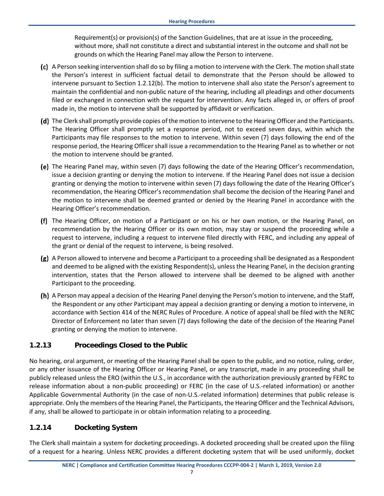Requirement(s) or provision(s) of the Sanction Guidelines, that are at issue in the proceeding, without more, shall not constitute a direct and substantial interest in the outcome and shall not be grounds on which the Hearing Panel may allow the Person to intervene.

- A Person seeking intervention shall do so by filing a motion to intervene with the Clerk. The motion shall state the Person's interest in sufficient factual detail to demonstrate that the Person should be allowed to intervene pursuant to Section 1.2.12(b). The motion to intervene shall also state the Person's agreement to maintain the confidential and non-public nature of the hearing, including all pleadings and other documents filed or exchanged in connection with the request for intervention. Any facts alleged in, or offers of proof made in, the motion to intervene shall be supported by affidavit or verification.
- (d) The Clerk shall promptly provide copies of the motion to intervene to the Hearing Officer and the Participants. The Hearing Officer shall promptly set a response period, not to exceed seven days, within which the Participants may file responses to the motion to intervene. Within seven (7) days following the end of the response period, the Hearing Officer shall issue a recommendation to the Hearing Panel as to whether or not the motion to intervene should be granted.
- The Hearing Panel may, within seven (7) days following the date of the Hearing Officer's recommendation, issue a decision granting or denying the motion to intervene. If the Hearing Panel does not issue a decision granting or denying the motion to intervene within seven (7) days following the date of the Hearing Officer's recommendation, the Hearing Officer's recommendation shall become the decision of the Hearing Panel and the motion to intervene shall be deemed granted or denied by the Hearing Panel in accordance with the Hearing Officer's recommendation.
- The Hearing Officer, on motion of a Participant or on his or her own motion, or the Hearing Panel, on recommendation by the Hearing Officer or its own motion, may stay or suspend the proceeding while a request to intervene, including a request to intervene filed directly with FERC, and including any appeal of the grant or denial of the request to intervene, is being resolved.
- A Person allowed to intervene and become a Participant to a proceeding shall be designated as a Respondent and deemed to be aligned with the existing Respondent(s), unless the Hearing Panel, in the decision granting intervention, states that the Person allowed to intervene shall be deemed to be aligned with another Participant to the proceeding.
- A Person may appeal a decision of the Hearing Panel denying the Person's motion to intervene, and the Staff, the Respondent or any other Participant may appeal a decision granting or denying a motion to intervene, in accordance with Section 414 of the NERC Rules of Procedure. A notice of appeal shall be filed with the NERC Director of Enforcement no later than seven (7) days following the date of the decision of the Hearing Panel granting or denying the motion to intervene.

#### <span id="page-21-0"></span>**1.2.13 Proceedings Closed to the Public**

No hearing, oral argument, or meeting of the Hearing Panel shall be open to the public, and no notice, ruling, order, or any other issuance of the Hearing Officer or Hearing Panel, or any transcript, made in any proceeding shall be publicly released unless the ERO (within the U.S., in accordance with the authorization previously granted by FERC to release information about a non-public proceeding) or FERC (in the case of U.S.-related information) or another Applicable Governmental Authority (in the case of non-U.S.-related information) determines that public release is appropriate. Only the members of the Hearing Panel, the Participants, the Hearing Officer and the Technical Advisors, if any, shall be allowed to participate in or obtain information relating to a proceeding.

#### <span id="page-21-1"></span>**1.2.14 Docketing System**

The Clerk shall maintain a system for docketing proceedings. A docketed proceeding shall be created upon the filing of a request for a hearing. Unless NERC provides a different docketing system that will be used uniformly, docket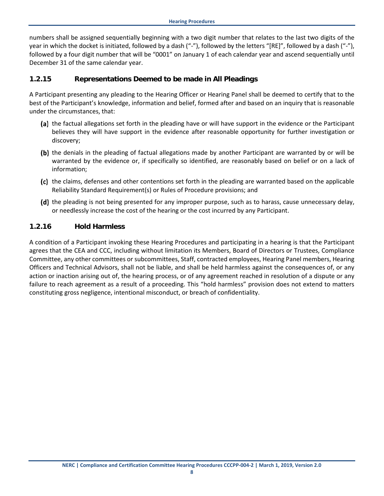numbers shall be assigned sequentially beginning with a two digit number that relates to the last two digits of the year in which the docket is initiated, followed by a dash ("-"), followed by the letters "[RE]", followed by a dash ("-"), followed by a four digit number that will be "0001" on January 1 of each calendar year and ascend sequentially until December 31 of the same calendar year.

#### <span id="page-22-0"></span>**1.2.15 Representations Deemed to be made in All Pleadings**

A Participant presenting any pleading to the Hearing Officer or Hearing Panel shall be deemed to certify that to the best of the Participant's knowledge, information and belief, formed after and based on an inquiry that is reasonable under the circumstances, that:

- (a) the factual allegations set forth in the pleading have or will have support in the evidence or the Participant believes they will have support in the evidence after reasonable opportunity for further investigation or discovery;
- (b) the denials in the pleading of factual allegations made by another Participant are warranted by or will be warranted by the evidence or, if specifically so identified, are reasonably based on belief or on a lack of information;
- (c) the claims, defenses and other contentions set forth in the pleading are warranted based on the applicable Reliability Standard Requirement(s) or Rules of Procedure provisions; and
- (d) the pleading is not being presented for any improper purpose, such as to harass, cause unnecessary delay, or needlessly increase the cost of the hearing or the cost incurred by any Participant.

#### <span id="page-22-1"></span>**1.2.16 Hold Harmless**

A condition of a Participant invoking these Hearing Procedures and participating in a hearing is that the Participant agrees that the CEA and CCC, including without limitation its Members, Board of Directors or Trustees, Compliance Committee, any other committees or subcommittees, Staff, contracted employees, Hearing Panel members, Hearing Officers and Technical Advisors, shall not be liable, and shall be held harmless against the consequences of, or any action or inaction arising out of, the hearing process, or of any agreement reached in resolution of a dispute or any failure to reach agreement as a result of a proceeding. This "hold harmless" provision does not extend to matters constituting gross negligence, intentional misconduct, or breach of confidentiality.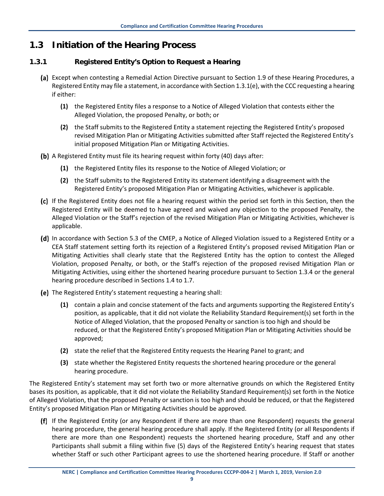## <span id="page-23-0"></span>**1.3 Initiation of the Hearing Process**

#### <span id="page-23-1"></span>**1.3.1 Registered Entity's Option to Request a Hearing**

- (a) Except when contesting a Remedial Action Directive pursuant to Section 1.9 of these Hearing Procedures, a Registered Entity may file a statement, in accordance with Section 1.3.1(e), with the CCC requesting a hearing if either:
	- **(1)** the Registered Entity files a response to a Notice of Alleged Violation that contests either the Alleged Violation, the proposed Penalty, or both; or
	- **(2)** the Staff submits to the Registered Entity a statement rejecting the Registered Entity's proposed revised Mitigation Plan or Mitigating Activities submitted after Staff rejected the Registered Entity's initial proposed Mitigation Plan or Mitigating Activities.
- A Registered Entity must file its hearing request within forty (40) days after:
	- **(1)** the Registered Entity files its response to the Notice of Alleged Violation; or
	- **(2)** the Staff submits to the Registered Entity its statement identifying a disagreement with the Registered Entity's proposed Mitigation Plan or Mitigating Activities, whichever is applicable.
- If the Registered Entity does not file a hearing request within the period set forth in this Section, then the Registered Entity will be deemed to have agreed and waived any objection to the proposed Penalty, the Alleged Violation or the Staff's rejection of the revised Mitigation Plan or Mitigating Activities, whichever is applicable.
- (d) In accordance with Section 5.3 of the CMEP, a Notice of Alleged Violation issued to a Registered Entity or a CEA Staff statement setting forth its rejection of a Registered Entity's proposed revised Mitigation Plan or Mitigating Activities shall clearly state that the Registered Entity has the option to contest the Alleged Violation, proposed Penalty, or both, or the Staff's rejection of the proposed revised Mitigation Plan or Mitigating Activities, using either the shortened hearing procedure pursuant to Section 1.3.4 or the general hearing procedure described in Sections 1.4 to 1.7.
- (e) The Registered Entity's statement requesting a hearing shall:
	- **(1)** contain a plain and concise statement of the facts and arguments supporting the Registered Entity's position, as applicable, that it did not violate the Reliability Standard Requirement(s) set forth in the Notice of Alleged Violation, that the proposed Penalty or sanction is too high and should be reduced, or that the Registered Entity's proposed Mitigation Plan or Mitigating Activities should be approved;
	- **(2)** state the relief that the Registered Entity requests the Hearing Panel to grant; and
	- **(3)** state whether the Registered Entity requests the shortened hearing procedure or the general hearing procedure.

The Registered Entity's statement may set forth two or more alternative grounds on which the Registered Entity bases its position, as applicable, that it did not violate the Reliability Standard Requirement(s) set forth in the Notice of Alleged Violation, that the proposed Penalty or sanction is too high and should be reduced, or that the Registered Entity's proposed Mitigation Plan or Mitigating Activities should be approved.

If the Registered Entity (or any Respondent if there are more than one Respondent) requests the general hearing procedure, the general hearing procedure shall apply. If the Registered Entity (or all Respondents if there are more than one Respondent) requests the shortened hearing procedure, Staff and any other Participants shall submit a filing within five (5) days of the Registered Entity's hearing request that states whether Staff or such other Participant agrees to use the shortened hearing procedure. If Staff or another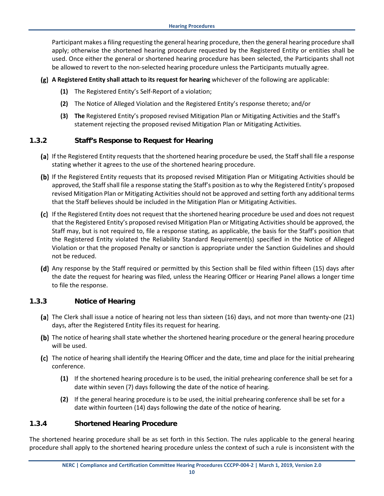Participant makes a filing requesting the general hearing procedure, then the general hearing procedure shall apply; otherwise the shortened hearing procedure requested by the Registered Entity or entities shall be used. Once either the general or shortened hearing procedure has been selected, the Participants shall not be allowed to revert to the non-selected hearing procedure unless the Participants mutually agree.

- **A Registered Entity shall attach to its request for hearing** whichever of the following are applicable:
	- **(1)** The Registered Entity's Self-Report of a violation;
	- **(2)** The Notice of Alleged Violation and the Registered Entity's response thereto; and/or
	- **(3) The** Registered Entity's proposed revised Mitigation Plan or Mitigating Activities and the Staff's statement rejecting the proposed revised Mitigation Plan or Mitigating Activities.

#### <span id="page-24-0"></span>**1.3.2 Staff's Response to Request for Hearing**

- (a) If the Registered Entity requests that the shortened hearing procedure be used, the Staff shall file a response stating whether it agrees to the use of the shortened hearing procedure.
- (b) If the Registered Entity requests that its proposed revised Mitigation Plan or Mitigating Activities should be approved, the Staff shall file a response stating the Staff's position as to why the Registered Entity's proposed revised Mitigation Plan or Mitigating Activities should not be approved and setting forth any additional terms that the Staff believes should be included in the Mitigation Plan or Mitigating Activities.
- (c) If the Registered Entity does not request that the shortened hearing procedure be used and does not request that the Registered Entity's proposed revised Mitigation Plan or Mitigating Activities should be approved, the Staff may, but is not required to, file a response stating, as applicable, the basis for the Staff's position that the Registered Entity violated the Reliability Standard Requirement(s) specified in the Notice of Alleged Violation or that the proposed Penalty or sanction is appropriate under the Sanction Guidelines and should not be reduced.
- (d) Any response by the Staff required or permitted by this Section shall be filed within fifteen (15) days after the date the request for hearing was filed, unless the Hearing Officer or Hearing Panel allows a longer time to file the response.

#### <span id="page-24-1"></span>**1.3.3 Notice of Hearing**

- The Clerk shall issue a notice of hearing not less than sixteen (16) days, and not more than twenty-one (21) days, after the Registered Entity files its request for hearing.
- (b) The notice of hearing shall state whether the shortened hearing procedure or the general hearing procedure will be used.
- (c) The notice of hearing shall identify the Hearing Officer and the date, time and place for the initial prehearing conference.
	- **(1)** If the shortened hearing procedure is to be used, the initial prehearing conference shall be set for a date within seven (7) days following the date of the notice of hearing.
	- **(2)** If the general hearing procedure is to be used, the initial prehearing conference shall be set for a date within fourteen (14) days following the date of the notice of hearing.

#### <span id="page-24-2"></span>**1.3.4 Shortened Hearing Procedure**

The shortened hearing procedure shall be as set forth in this Section. The rules applicable to the general hearing procedure shall apply to the shortened hearing procedure unless the context of such a rule is inconsistent with the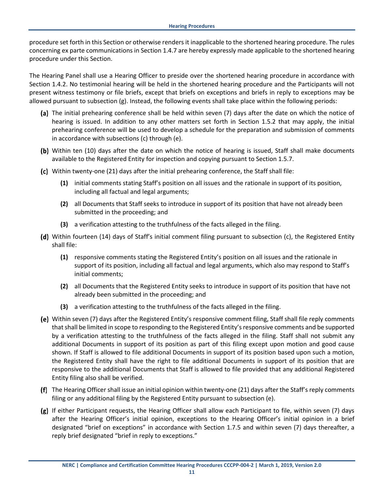procedure set forth in this Section or otherwise renders it inapplicable to the shortened hearing procedure. The rules concerning ex parte communications in Section 1.4.7 are hereby expressly made applicable to the shortened hearing procedure under this Section.

The Hearing Panel shall use a Hearing Officer to preside over the shortened hearing procedure in accordance with Section 1.4.2. No testimonial hearing will be held in the shortened hearing procedure and the Participants will not present witness testimony or file briefs, except that briefs on exceptions and briefs in reply to exceptions may be allowed pursuant to subsection (g). Instead, the following events shall take place within the following periods:

- The initial prehearing conference shall be held within seven (7) days after the date on which the notice of hearing is issued. In addition to any other matters set forth in Section 1.5.2 that may apply, the initial prehearing conference will be used to develop a schedule for the preparation and submission of comments in accordance with subsections (c) through (e).
- (b) Within ten (10) days after the date on which the notice of hearing is issued, Staff shall make documents available to the Registered Entity for inspection and copying pursuant to Section 1.5.7.
- (c) Within twenty-one (21) days after the initial prehearing conference, the Staff shall file:
	- **(1)** initial comments stating Staff's position on all issues and the rationale in support of its position, including all factual and legal arguments;
	- **(2)** all Documents that Staff seeks to introduce in support of its position that have not already been submitted in the proceeding; and
	- **(3)** a verification attesting to the truthfulness of the facts alleged in the filing.
- Within fourteen (14) days of Staff's initial comment filing pursuant to subsection (c), the Registered Entity shall file:
	- **(1)** responsive comments stating the Registered Entity's position on all issues and the rationale in support of its position, including all factual and legal arguments, which also may respond to Staff's initial comments;
	- **(2)** all Documents that the Registered Entity seeks to introduce in support of its position that have not already been submitted in the proceeding; and
	- **(3)** a verification attesting to the truthfulness of the facts alleged in the filing.
- Within seven (7) days after the Registered Entity's responsive comment filing, Staff shall file reply comments that shall be limited in scope to responding to the Registered Entity's responsive comments and be supported by a verification attesting to the truthfulness of the facts alleged in the filing. Staff shall not submit any additional Documents in support of its position as part of this filing except upon motion and good cause shown. If Staff is allowed to file additional Documents in support of its position based upon such a motion, the Registered Entity shall have the right to file additional Documents in support of its position that are responsive to the additional Documents that Staff is allowed to file provided that any additional Registered Entity filing also shall be verified.
- The Hearing Officer shall issue an initial opinion within twenty-one (21) days after the Staff's reply comments filing or any additional filing by the Registered Entity pursuant to subsection (e).
- $(g)$  If either Participant requests, the Hearing Officer shall allow each Participant to file, within seven (7) days after the Hearing Officer's initial opinion, exceptions to the Hearing Officer's initial opinion in a brief designated "brief on exceptions" in accordance with Section 1.7.5 and within seven (7) days thereafter, a reply brief designated "brief in reply to exceptions."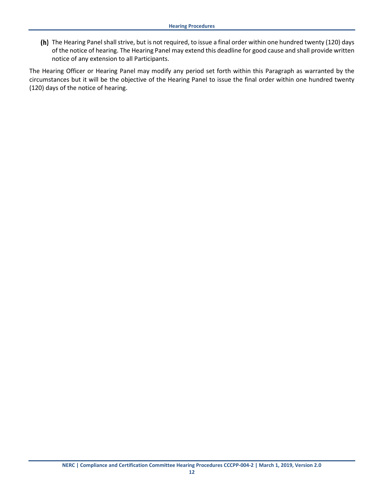(h) The Hearing Panel shall strive, but is not required, to issue a final order within one hundred twenty (120) days of the notice of hearing. The Hearing Panel may extend this deadline for good cause and shall provide written notice of any extension to all Participants.

The Hearing Officer or Hearing Panel may modify any period set forth within this Paragraph as warranted by the circumstances but it will be the objective of the Hearing Panel to issue the final order within one hundred twenty (120) days of the notice of hearing.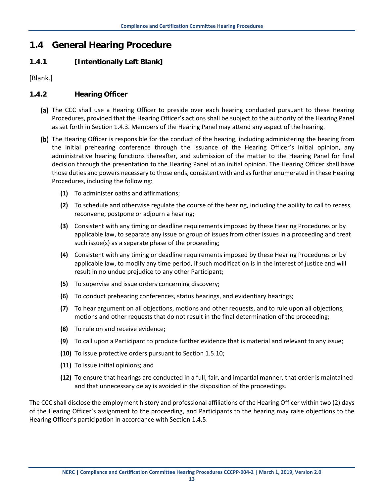## <span id="page-27-0"></span>**1.4 General Hearing Procedure**

#### <span id="page-27-1"></span>**1.4.1 [Intentionally Left Blank]**

[Blank.]

#### <span id="page-27-2"></span>**1.4.2 Hearing Officer**

- (a) The CCC shall use a Hearing Officer to preside over each hearing conducted pursuant to these Hearing Procedures, provided that the Hearing Officer's actions shall be subject to the authority of the Hearing Panel as set forth in Section 1.4.3. Members of the Hearing Panel may attend any aspect of the hearing.
- (b) The Hearing Officer is responsible for the conduct of the hearing, including administering the hearing from the initial prehearing conference through the issuance of the Hearing Officer's initial opinion, any administrative hearing functions thereafter, and submission of the matter to the Hearing Panel for final decision through the presentation to the Hearing Panel of an initial opinion. The Hearing Officer shall have those duties and powers necessary to those ends, consistent with and as further enumerated in these Hearing Procedures, including the following:
	- **(1)** To administer oaths and affirmations;
	- **(2)** To schedule and otherwise regulate the course of the hearing, including the ability to call to recess, reconvene, postpone or adjourn a hearing;
	- **(3)** Consistent with any timing or deadline requirements imposed by these Hearing Procedures or by applicable law, to separate any issue or group of issues from other issues in a proceeding and treat such issue(s) as a separate phase of the proceeding;
	- **(4)** Consistent with any timing or deadline requirements imposed by these Hearing Procedures or by applicable law, to modify any time period, if such modification is in the interest of justice and will result in no undue prejudice to any other Participant;
	- **(5)** To supervise and issue orders concerning discovery;
	- **(6)** To conduct prehearing conferences, status hearings, and evidentiary hearings;
	- **(7)** To hear argument on all objections, motions and other requests, and to rule upon all objections, motions and other requests that do not result in the final determination of the proceeding;
	- **(8)** To rule on and receive evidence;
	- **(9)** To call upon a Participant to produce further evidence that is material and relevant to any issue;
	- **(10)** To issue protective orders pursuant to Section 1.5.10;
	- **(11)** To issue initial opinions; and
	- **(12)** To ensure that hearings are conducted in a full, fair, and impartial manner, that order is maintained and that unnecessary delay is avoided in the disposition of the proceedings.

The CCC shall disclose the employment history and professional affiliations of the Hearing Officer within two (2) days of the Hearing Officer's assignment to the proceeding, and Participants to the hearing may raise objections to the Hearing Officer's participation in accordance with Section 1.4.5.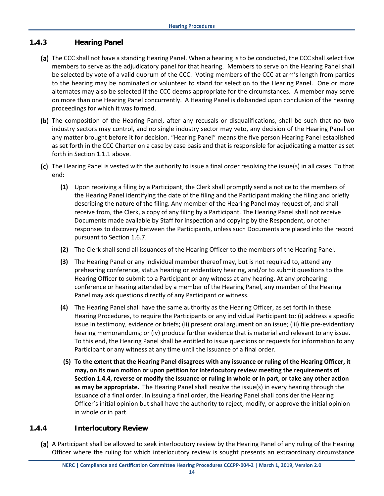#### <span id="page-28-0"></span>**1.4.3 Hearing Panel**

- (a) The CCC shall not have a standing Hearing Panel. When a hearing is to be conducted, the CCC shall select five members to serve as the adjudicatory panel for that hearing. Members to serve on the Hearing Panel shall be selected by vote of a valid quorum of the CCC. Voting members of the CCC at arm's length from parties to the hearing may be nominated or volunteer to stand for selection to the Hearing Panel. One or more alternates may also be selected if the CCC deems appropriate for the circumstances. A member may serve on more than one Hearing Panel concurrently. A Hearing Panel is disbanded upon conclusion of the hearing proceedings for which it was formed.
- (b) The composition of the Hearing Panel, after any recusals or disqualifications, shall be such that no two industry sectors may control, and no single industry sector may veto, any decision of the Hearing Panel on any matter brought before it for decision. "Hearing Panel" means the five person Hearing Panel established as set forth in the CCC Charter on a case by case basis and that is responsible for adjudicating a matter as set forth in Section 1.1.1 above.
- The Hearing Panel is vested with the authority to issue a final order resolving the issue(s) in all cases. To that end:
	- **(1)** Upon receiving a filing by a Participant, the Clerk shall promptly send a notice to the members of the Hearing Panel identifying the date of the filing and the Participant making the filing and briefly describing the nature of the filing. Any member of the Hearing Panel may request of, and shall receive from, the Clerk, a copy of any filing by a Participant. The Hearing Panel shall not receive Documents made available by Staff for inspection and copying by the Respondent, or other responses to discovery between the Participants, unless such Documents are placed into the record pursuant to Section 1.6.7.
	- **(2)** The Clerk shall send all issuances of the Hearing Officer to the members of the Hearing Panel.
	- **(3)** The Hearing Panel or any individual member thereof may, but is not required to, attend any prehearing conference, status hearing or evidentiary hearing, and/or to submit questions to the Hearing Officer to submit to a Participant or any witness at any hearing. At any prehearing conference or hearing attended by a member of the Hearing Panel, any member of the Hearing Panel may ask questions directly of any Participant or witness.
	- **(4)** The Hearing Panel shall have the same authority as the Hearing Officer, as set forth in these Hearing Procedures, to require the Participants or any individual Participant to: (i) address a specific issue in testimony, evidence or briefs; (ii) present oral argument on an issue; (iii) file pre-evidentiary hearing memorandums; or (iv) produce further evidence that is material and relevant to any issue. To this end, the Hearing Panel shall be entitled to issue questions or requests for information to any Participant or any witness at any time until the issuance of a final order.
	- **(5) To the extent that the Hearing Panel disagrees with any issuance or ruling of the Hearing Officer, it may, on its own motion or upon petition for interlocutory review meeting the requirements of Section 1.4.4, reverse or modify the issuance or ruling in whole or in part, or take any other action as may be appropriate.** The Hearing Panel shall resolve the issue(s) in every hearing through the issuance of a final order. In issuing a final order, the Hearing Panel shall consider the Hearing Officer's initial opinion but shall have the authority to reject, modify, or approve the initial opinion in whole or in part.

#### <span id="page-28-1"></span>**1.4.4 Interlocutory Review**

(a) A Participant shall be allowed to seek interlocutory review by the Hearing Panel of any ruling of the Hearing Officer where the ruling for which interlocutory review is sought presents an extraordinary circumstance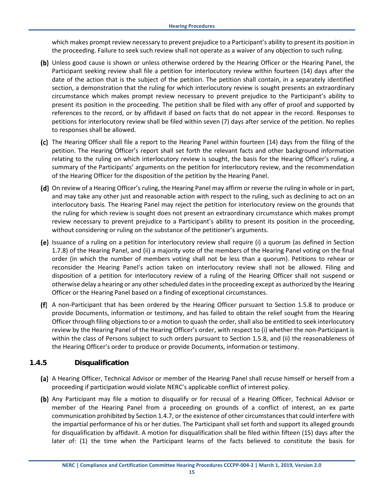which makes prompt review necessary to prevent prejudice to a Participant's ability to present its position in the proceeding. Failure to seek such review shall not operate as a waiver of any objection to such ruling.

- (b) Unless good cause is shown or unless otherwise ordered by the Hearing Officer or the Hearing Panel, the Participant seeking review shall file a petition for interlocutory review within fourteen (14) days after the date of the action that is the subject of the petition. The petition shall contain, in a separately identified section, a demonstration that the ruling for which interlocutory review is sought presents an extraordinary circumstance which makes prompt review necessary to prevent prejudice to the Participant's ability to present its position in the proceeding. The petition shall be filed with any offer of proof and supported by references to the record, or by affidavit if based on facts that do not appear in the record. Responses to petitions for interlocutory review shall be filed within seven (7) days after service of the petition. No replies to responses shall be allowed.
- The Hearing Officer shall file a report to the Hearing Panel within fourteen (14) days from the filing of the petition. The Hearing Officer's report shall set forth the relevant facts and other background information relating to the ruling on which interlocutory review is sought, the basis for the Hearing Officer's ruling, a summary of the Participants' arguments on the petition for interlocutory review, and the recommendation of the Hearing Officer for the disposition of the petition by the Hearing Panel.
- (d) On review of a Hearing Officer's ruling, the Hearing Panel may affirm or reverse the ruling in whole or in part, and may take any other just and reasonable action with respect to the ruling, such as declining to act on an interlocutory basis. The Hearing Panel may reject the petition for interlocutory review on the grounds that the ruling for which review is sought does not present an extraordinary circumstance which makes prompt review necessary to prevent prejudice to a Participant's ability to present its position in the proceeding, without considering or ruling on the substance of the petitioner's arguments.
- (e) Issuance of a ruling on a petition for interlocutory review shall require (i) a quorum (as defined in Section 1.7.8) of the Hearing Panel, and (ii) a majority vote of the members of the Hearing Panel voting on the final order (in which the number of members voting shall not be less than a quorum). Petitions to rehear or reconsider the Hearing Panel's action taken on interlocutory review shall not be allowed. Filing and disposition of a petition for interlocutory review of a ruling of the Hearing Officer shall not suspend or otherwise delay a hearing or any other scheduled dates in the proceeding except as authorized by the Hearing Officer or the Hearing Panel based on a finding of exceptional circumstances.
- A non-Participant that has been ordered by the Hearing Officer pursuant to Section 1.5.8 to produce or provide Documents, information or testimony, and has failed to obtain the relief sought from the Hearing Officer through filing objections to or a motion to quash the order, shall also be entitled to seek interlocutory review by the Hearing Panel of the Hearing Officer's order, with respect to (i) whether the non-Participant is within the class of Persons subject to such orders pursuant to Section 1.5.8, and (ii) the reasonableness of the Hearing Officer's order to produce or provide Documents, information or testimony.

#### <span id="page-29-0"></span>**1.4.5 Disqualification**

- (a) A Hearing Officer, Technical Advisor or member of the Hearing Panel shall recuse himself or herself from a proceeding if participation would violate NERC's applicable conflict of interest policy.
- (b) Any Participant may file a motion to disqualify or for recusal of a Hearing Officer, Technical Advisor or member of the Hearing Panel from a proceeding on grounds of a conflict of interest, an ex parte communication prohibited by Section 1.4.7, or the existence of other circumstances that could interfere with the impartial performance of his or her duties. The Participant shall set forth and support its alleged grounds for disqualification by affidavit. A motion for disqualification shall be filed within fifteen (15) days after the later of: (1) the time when the Participant learns of the facts believed to constitute the basis for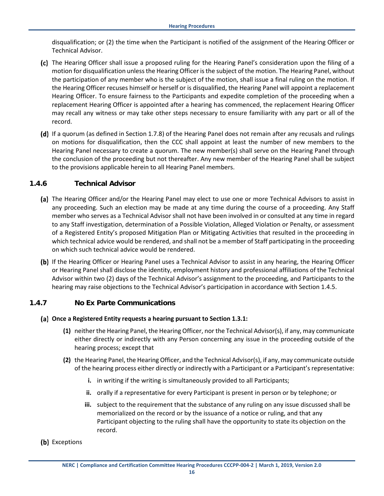disqualification; or (2) the time when the Participant is notified of the assignment of the Hearing Officer or Technical Advisor.

- The Hearing Officer shall issue a proposed ruling for the Hearing Panel's consideration upon the filing of a motion for disqualification unless the Hearing Officer is the subject of the motion. The Hearing Panel, without the participation of any member who is the subject of the motion, shall issue a final ruling on the motion. If the Hearing Officer recuses himself or herself or is disqualified, the Hearing Panel will appoint a replacement Hearing Officer. To ensure fairness to the Participants and expedite completion of the proceeding when a replacement Hearing Officer is appointed after a hearing has commenced, the replacement Hearing Officer may recall any witness or may take other steps necessary to ensure familiarity with any part or all of the record.
- (d) If a quorum (as defined in Section 1.7.8) of the Hearing Panel does not remain after any recusals and rulings on motions for disqualification, then the CCC shall appoint at least the number of new members to the Hearing Panel necessary to create a quorum. The new member(s) shall serve on the Hearing Panel through the conclusion of the proceeding but not thereafter. Any new member of the Hearing Panel shall be subject to the provisions applicable herein to all Hearing Panel members.

#### <span id="page-30-0"></span>**1.4.6 Technical Advisor**

- (a) The Hearing Officer and/or the Hearing Panel may elect to use one or more Technical Advisors to assist in any proceeding. Such an election may be made at any time during the course of a proceeding. Any Staff member who serves as a Technical Advisor shall not have been involved in or consulted at any time in regard to any Staff investigation, determination of a Possible Violation, Alleged Violation or Penalty, or assessment of a Registered Entity's proposed Mitigation Plan or Mitigating Activities that resulted in the proceeding in which technical advice would be rendered, and shall not be a member of Staff participating in the proceeding on which such technical advice would be rendered.
- (b) If the Hearing Officer or Hearing Panel uses a Technical Advisor to assist in any hearing, the Hearing Officer or Hearing Panel shall disclose the identity, employment history and professional affiliations of the Technical Advisor within two (2) days of the Technical Advisor's assignment to the proceeding, and Participants to the hearing may raise objections to the Technical Advisor's participation in accordance with Section 1.4.5.

#### **1.4.7 No Ex Parte Communications**

- <span id="page-30-1"></span>**Once a Registered Entity requests a hearing pursuant to Section 1.3.1:**
	- **(1)** neither the Hearing Panel, the Hearing Officer, nor the Technical Advisor(s), if any, may communicate either directly or indirectly with any Person concerning any issue in the proceeding outside of the hearing process; except that
	- **(2)** the Hearing Panel, the Hearing Officer, and the Technical Advisor(s), if any, may communicate outside of the hearing process either directly or indirectly with a Participant or a Participant's representative:
		- **i.** in writing if the writing is simultaneously provided to all Participants;
		- **ii.** orally if a representative for every Participant is present in person or by telephone; or
		- **iii.** subject to the requirement that the substance of any ruling on any issue discussed shall be memorialized on the record or by the issuance of a notice or ruling, and that any Participant objecting to the ruling shall have the opportunity to state its objection on the record.
- (b) Exceptions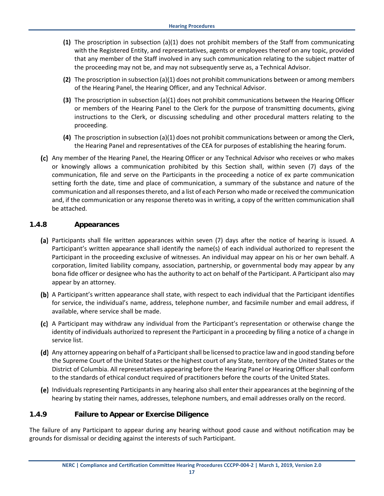- **(1)** The proscription in subsection (a)(1) does not prohibit members of the Staff from communicating with the Registered Entity, and representatives, agents or employees thereof on any topic, provided that any member of the Staff involved in any such communication relating to the subject matter of the proceeding may not be, and may not subsequently serve as, a Technical Advisor.
- **(2)** The proscription in subsection (a)(1) does not prohibit communications between or among members of the Hearing Panel, the Hearing Officer, and any Technical Advisor.
- **(3)** The proscription in subsection (a)(1) does not prohibit communications between the Hearing Officer or members of the Hearing Panel to the Clerk for the purpose of transmitting documents, giving instructions to the Clerk, or discussing scheduling and other procedural matters relating to the proceeding.
- **(4)** The proscription in subsection (a)(1) does not prohibit communications between or among the Clerk, the Hearing Panel and representatives of the CEA for purposes of establishing the hearing forum.
- (c) Any member of the Hearing Panel, the Hearing Officer or any Technical Advisor who receives or who makes or knowingly allows a communication prohibited by this Section shall, within seven (7) days of the communication, file and serve on the Participants in the proceeding a notice of ex parte communication setting forth the date, time and place of communication, a summary of the substance and nature of the communication and all responses thereto, and a list of each Person who made or received the communication and, if the communication or any response thereto was in writing, a copy of the written communication shall be attached.

#### <span id="page-31-0"></span>**1.4.8 Appearances**

- (a) Participants shall file written appearances within seven (7) days after the notice of hearing is issued. A Participant's written appearance shall identify the name(s) of each individual authorized to represent the Participant in the proceeding exclusive of witnesses. An individual may appear on his or her own behalf. A corporation, limited liability company, association, partnership, or governmental body may appear by any bona fide officer or designee who has the authority to act on behalf of the Participant. A Participant also may appear by an attorney.
- (b) A Participant's written appearance shall state, with respect to each individual that the Participant identifies for service, the individual's name, address, telephone number, and facsimile number and email address, if available, where service shall be made.
- A Participant may withdraw any individual from the Participant's representation or otherwise change the identity of individuals authorized to represent the Participant in a proceeding by filing a notice of a change in service list.
- (d) Any attorney appearing on behalf of a Participant shall be licensed to practice law and in good standing before the Supreme Court of the United States or the highest court of any State, territory of the United States or the District of Columbia. All representatives appearing before the Hearing Panel or Hearing Officer shall conform to the standards of ethical conduct required of practitioners before the courts of the United States.
- (e) Individuals representing Participants in any hearing also shall enter their appearances at the beginning of the hearing by stating their names, addresses, telephone numbers, and email addresses orally on the record.

#### <span id="page-31-1"></span>**1.4.9 Failure to Appear or Exercise Diligence**

The failure of any Participant to appear during any hearing without good cause and without notification may be grounds for dismissal or deciding against the interests of such Participant.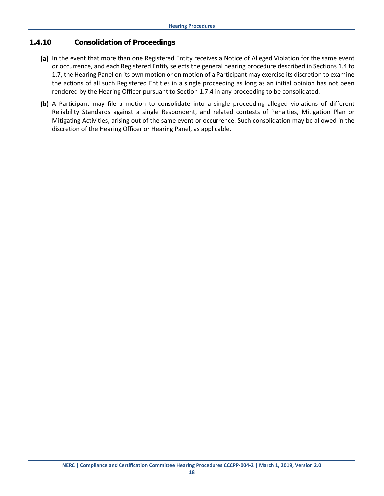#### <span id="page-32-0"></span>**1.4.10 Consolidation of Proceedings**

- (a) In the event that more than one Registered Entity receives a Notice of Alleged Violation for the same event or occurrence, and each Registered Entity selects the general hearing procedure described in Sections 1.4 to 1.7, the Hearing Panel on its own motion or on motion of a Participant may exercise its discretion to examine the actions of all such Registered Entities in a single proceeding as long as an initial opinion has not been rendered by the Hearing Officer pursuant to Section 1.7.4 in any proceeding to be consolidated.
- (b) A Participant may file a motion to consolidate into a single proceeding alleged violations of different Reliability Standards against a single Respondent, and related contests of Penalties, Mitigation Plan or Mitigating Activities, arising out of the same event or occurrence. Such consolidation may be allowed in the discretion of the Hearing Officer or Hearing Panel, as applicable.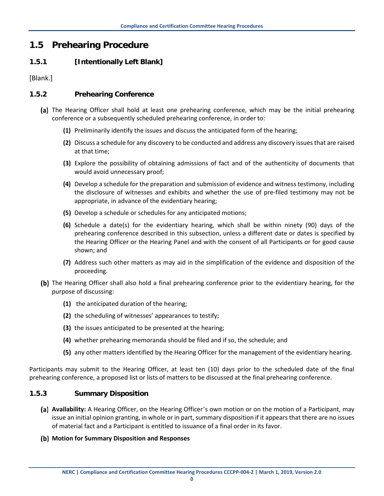### <span id="page-33-0"></span>**1.5 Prehearing Procedure**

#### <span id="page-33-1"></span>**1.5.1 [Intentionally Left Blank]**

[Blank.]

#### <span id="page-33-2"></span>**1.5.2 Prehearing Conference**

- (a) The Hearing Officer shall hold at least one prehearing conference, which may be the initial prehearing conference or a subsequently scheduled prehearing conference, in order to:
	- **(1)** Preliminarily identify the issues and discuss the anticipated form of the hearing;
	- **(2)** Discuss a schedule for any discovery to be conducted and address any discovery issues that are raised at that time;
	- **(3)** Explore the possibility of obtaining admissions of fact and of the authenticity of documents that would avoid unnecessary proof;
	- **(4)** Develop a schedule for the preparation and submission of evidence and witness testimony, including the disclosure of witnesses and exhibits and whether the use of pre-filed testimony may not be appropriate, in advance of the evidentiary hearing;
	- **(5)** Develop a schedule or schedules for any anticipated motions;
	- **(6)** Schedule a date(s) for the evidentiary hearing, which shall be within ninety (90) days of the prehearing conference described in this subsection, unless a different date or dates is specified by the Hearing Officer or the Hearing Panel and with the consent of all Participants or for good cause shown; and
	- **(7)** Address such other matters as may aid in the simplification of the evidence and disposition of the proceeding.
- (b) The Hearing Officer shall also hold a final prehearing conference prior to the evidentiary hearing, for the purpose of discussing:
	- **(1)** the anticipated duration of the hearing;
	- **(2)** the scheduling of witnesses' appearances to testify;
	- **(3)** the issues anticipated to be presented at the hearing;
	- **(4)** whether prehearing memoranda should be filed and if so, the schedule; and
	- **(5)** any other matters identified by the Hearing Officer for the management of the evidentiary hearing.

Participants may submit to the Hearing Officer, at least ten (10) days prior to the scheduled date of the final prehearing conference, a proposed list or lists of matters to be discussed at the final prehearing conference.

#### <span id="page-33-3"></span>**1.5.3 Summary Disposition**

- **Availability:** A Hearing Officer, on the Hearing Officer's own motion or on the motion of a Participant, may issue an initial opinion granting, in whole or in part, summary disposition if it appears that there are no issues of material fact and a Participant is entitled to issuance of a final order in its favor.
- **Motion for Summary Disposition and Responses**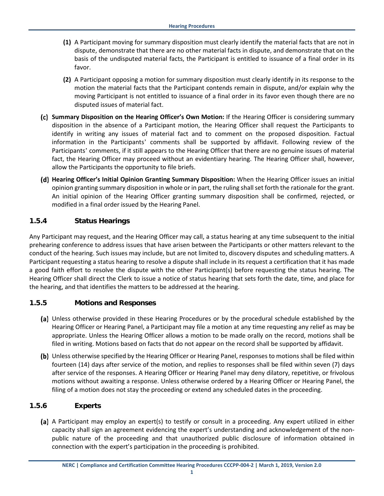- **(1)** A Participant moving for summary disposition must clearly identify the material facts that are not in dispute, demonstrate that there are no other material facts in dispute, and demonstrate that on the basis of the undisputed material facts, the Participant is entitled to issuance of a final order in its favor.
- **(2)** A Participant opposing a motion for summary disposition must clearly identify in its response to the motion the material facts that the Participant contends remain in dispute, and/or explain why the moving Participant is not entitled to issuance of a final order in its favor even though there are no disputed issues of material fact.
- **Summary Disposition on the Hearing Officer's Own Motion:** If the Hearing Officer is considering summary disposition in the absence of a Participant motion, the Hearing Officer shall request the Participants to identify in writing any issues of material fact and to comment on the proposed disposition. Factual information in the Participants' comments shall be supported by affidavit. Following review of the Participants' comments, if it still appears to the Hearing Officer that there are no genuine issues of material fact, the Hearing Officer may proceed without an evidentiary hearing. The Hearing Officer shall, however, allow the Participants the opportunity to file briefs.
- **Hearing Officer's Initial Opinion Granting Summary Disposition:** When the Hearing Officer issues an initial opinion granting summary disposition in whole or in part, the ruling shall set forth the rationale for the grant. An initial opinion of the Hearing Officer granting summary disposition shall be confirmed, rejected, or modified in a final order issued by the Hearing Panel.

#### <span id="page-34-0"></span>**1.5.4 Status Hearings**

Any Participant may request, and the Hearing Officer may call, a status hearing at any time subsequent to the initial prehearing conference to address issues that have arisen between the Participants or other matters relevant to the conduct of the hearing. Such issues may include, but are not limited to, discovery disputes and scheduling matters. A Participant requesting a status hearing to resolve a dispute shall include in its request a certification that it has made a good faith effort to resolve the dispute with the other Participant(s) before requesting the status hearing. The Hearing Officer shall direct the Clerk to issue a notice of status hearing that sets forth the date, time, and place for the hearing, and that identifies the matters to be addressed at the hearing.

#### <span id="page-34-1"></span>**1.5.5 Motions and Responses**

- Unless otherwise provided in these Hearing Procedures or by the procedural schedule established by the Hearing Officer or Hearing Panel, a Participant may file a motion at any time requesting any relief as may be appropriate. Unless the Hearing Officer allows a motion to be made orally on the record, motions shall be filed in writing. Motions based on facts that do not appear on the record shall be supported by affidavit.
- Unless otherwise specified by the Hearing Officer or Hearing Panel, responses to motions shall be filed within fourteen (14) days after service of the motion, and replies to responses shall be filed within seven (7) days after service of the responses. A Hearing Officer or Hearing Panel may deny dilatory, repetitive, or frivolous motions without awaiting a response. Unless otherwise ordered by a Hearing Officer or Hearing Panel, the filing of a motion does not stay the proceeding or extend any scheduled dates in the proceeding.

#### <span id="page-34-2"></span>**1.5.6 Experts**

A Participant may employ an expert(s) to testify or consult in a proceeding. Any expert utilized in either capacity shall sign an agreement evidencing the expert's understanding and acknowledgement of the nonpublic nature of the proceeding and that unauthorized public disclosure of information obtained in connection with the expert's participation in the proceeding is prohibited.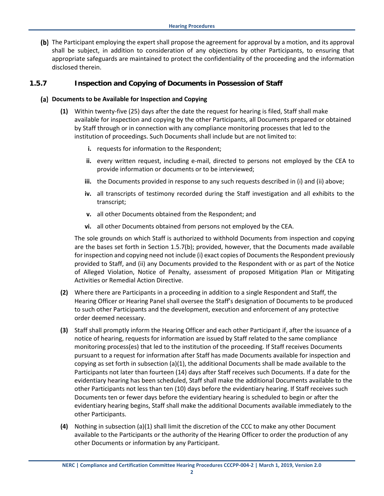(b) The Participant employing the expert shall propose the agreement for approval by a motion, and its approval shall be subject, in addition to consideration of any objections by other Participants, to ensuring that appropriate safeguards are maintained to protect the confidentiality of the proceeding and the information disclosed therein.

#### **1.5.7 Inspection and Copying of Documents in Possession of Staff**

#### **Documents to be Available for Inspection and Copying**

- <span id="page-35-0"></span>**(1)** Within twenty-five (25) days after the date the request for hearing is filed, Staff shall make available for inspection and copying by the other Participants, all Documents prepared or obtained by Staff through or in connection with any compliance monitoring processes that led to the institution of proceedings. Such Documents shall include but are not limited to:
	- **i.** requests for information to the Respondent;
	- **ii.** every written request, including e-mail, directed to persons not employed by the CEA to provide information or documents or to be interviewed;
	- **iii.** the Documents provided in response to any such requests described in (i) and (ii) above;
	- **iv.** all transcripts of testimony recorded during the Staff investigation and all exhibits to the transcript;
	- **v.** all other Documents obtained from the Respondent; and
	- **vi.** all other Documents obtained from persons not employed by the CEA.

The sole grounds on which Staff is authorized to withhold Documents from inspection and copying are the bases set forth in Section 1.5.7(b); provided, however, that the Documents made available for inspection and copying need not include (i) exact copies of Documents the Respondent previously provided to Staff, and (ii) any Documents provided to the Respondent with or as part of the Notice of Alleged Violation, Notice of Penalty, assessment of proposed Mitigation Plan or Mitigating Activities or Remedial Action Directive.

- **(2)** Where there are Participants in a proceeding in addition to a single Respondent and Staff, the Hearing Officer or Hearing Panel shall oversee the Staff's designation of Documents to be produced to such other Participants and the development, execution and enforcement of any protective order deemed necessary.
- **(3)** Staff shall promptly inform the Hearing Officer and each other Participant if, after the issuance of a notice of hearing, requests for information are issued by Staff related to the same compliance monitoring process(es) that led to the institution of the proceeding. If Staff receives Documents pursuant to a request for information after Staff has made Documents available for inspection and copying as set forth in subsection (a)(1), the additional Documents shall be made available to the Participants not later than fourteen (14) days after Staff receives such Documents. If a date for the evidentiary hearing has been scheduled, Staff shall make the additional Documents available to the other Participants not less than ten (10) days before the evidentiary hearing. If Staff receives such Documents ten or fewer days before the evidentiary hearing is scheduled to begin or after the evidentiary hearing begins, Staff shall make the additional Documents available immediately to the other Participants.
- **(4)** Nothing in subsection (a)(1) shall limit the discretion of the CCC to make any other Document available to the Participants or the authority of the Hearing Officer to order the production of any other Documents or information by any Participant.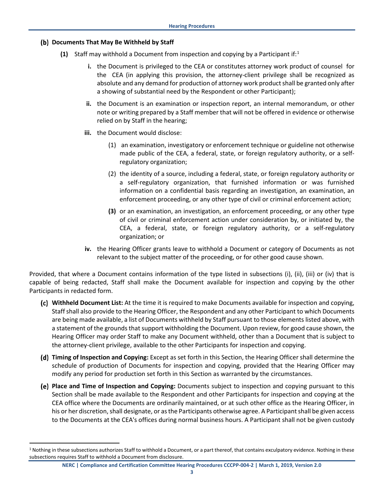#### **Documents That May Be Withheld by Staff**

- **(1)** Staff may withhold a Document from inspection and copying by a Participant if:[1](#page-36-0)
	- **i.** the Document is privileged to the CEA or constitutes attorney work product of counsel for the CEA (in applying this provision, the attorney-client privilege shall be recognized as absolute and any demand for production of attorney work product shall be granted only after a showing of substantial need by the Respondent or other Participant);
	- **ii.** the Document is an examination or inspection report, an internal memorandum, or other note or writing prepared by a Staff member that will not be offered in evidence or otherwise relied on by Staff in the hearing;
	- **iii.** the Document would disclose:
		- (1) an examination, investigatory or enforcement technique or guideline not otherwise made public of the CEA, a federal, state, or foreign regulatory authority, or a selfregulatory organization;
		- (2) the identity of a source, including a federal, state, or foreign regulatory authority or a self-regulatory organization, that furnished information or was furnished information on a confidential basis regarding an investigation, an examination, an enforcement proceeding, or any other type of civil or criminal enforcement action;
		- **(3)** or an examination, an investigation, an enforcement proceeding, or any other type of civil or criminal enforcement action under consideration by, or initiated by, the CEA, a federal, state, or foreign regulatory authority, or a self-regulatory organization; or
	- **iv.** the Hearing Officer grants leave to withhold a Document or category of Documents as not relevant to the subject matter of the proceeding, or for other good cause shown.

Provided, that where a Document contains information of the type listed in subsections (i), (ii), (iii) or (iv) that is capable of being redacted, Staff shall make the Document available for inspection and copying by the other Participants in redacted form.

- **Withheld Document List:** At the time it is required to make Documents available for inspection and copying, Staff shall also provide to the Hearing Officer, the Respondent and any other Participant to which Documents are being made available, a list of Documents withheld by Staff pursuant to those elements listed above, with a statement of the grounds that support withholding the Document. Upon review, for good cause shown, the Hearing Officer may order Staff to make any Document withheld, other than a Document that is subject to the attorney-client privilege, available to the other Participants for inspection and copying.
- **Timing of Inspection and Copying:** Except as set forth in this Section, the Hearing Officer shall determine the schedule of production of Documents for inspection and copying, provided that the Hearing Officer may modify any period for production set forth in this Section as warranted by the circumstances.
- **Place and Time of Inspection and Copying:** Documents subject to inspection and copying pursuant to this Section shall be made available to the Respondent and other Participants for inspection and copying at the CEA office where the Documents are ordinarily maintained, or at such other office as the Hearing Officer, in his or her discretion, shall designate, or as the Participants otherwise agree. A Participant shall be given access to the Documents at the CEA's offices during normal business hours. A Participant shall not be given custody

<span id="page-36-0"></span><sup>&</sup>lt;sup>1</sup> Nothing in these subsections authorizes Staff to withhold a Document, or a part thereof, that contains exculpatory evidence. Nothing in these subsections requires Staff to withhold a Document from disclosure.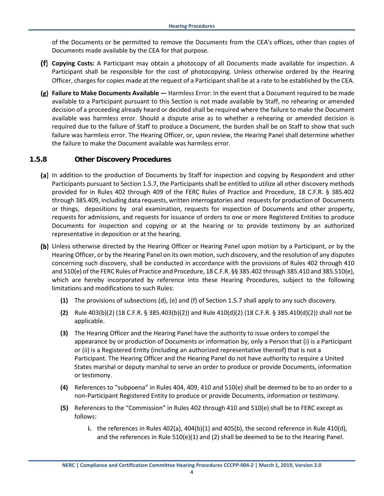of the Documents or be permitted to remove the Documents from the CEA's offices, other than copies of Documents made available by the CEA for that purpose.

- **Copying Costs:** A Participant may obtain a photocopy of all Documents made available for inspection. A Participant shall be responsible for the cost of photocopying. Unless otherwise ordered by the Hearing Officer, charges for copies made at the request of a Participant shall be at a rate to be established by the CEA.
- **Failure to Make Documents Available —** Harmless Error: In the event that a Document required to be made available to a Participant pursuant to this Section is not made available by Staff, no rehearing or amended decision of a proceeding already heard or decided shall be required where the failure to make the Document available was harmless error. Should a dispute arise as to whether a rehearing or amended decision is required due to the failure of Staff to produce a Document, the burden shall be on Staff to show that such failure was harmless error. The Hearing Officer, or, upon review, the Hearing Panel shall determine whether the failure to make the Document available was harmless error.

#### <span id="page-37-0"></span>**1.5.8 Other Discovery Procedures**

- (a) In addition to the production of Documents by Staff for inspection and copying by Respondent and other Participants pursuant to Section 1.5.7, the Participants shall be entitled to utilize all other discovery methods provided for in Rules 402 through 409 of the FERC Rules of Practice and Procedure, 18 C.F.R. § 385.402 through 385.409, including data requests, written interrogatories and requestsfor production of Documents or things, depositions by oral examination, requests for inspection of Documents and other property, requests for admissions, and requests for issuance of orders to one or more Registered Entities to produce Documents for inspection and copying or at the hearing or to provide testimony by an authorized representative in deposition or at the hearing.
- (b) Unless otherwise directed by the Hearing Officer or Hearing Panel upon motion by a Participant, or by the Hearing Officer, or by the Hearing Panel on its own motion, such discovery, and the resolution of any disputes concerning such discovery, shall be conducted in accordance with the provisions of Rules 402 through 410 and 510(e) of the FERC Rules of Practice and Procedure, 18 C.F.R. §§ 385.402 through 385.410 and 385.510(e), which are hereby incorporated by reference into these Hearing Procedures, subject to the following limitations and modifications to such Rules:
	- **(1)** The provisions of subsections (d), (e) and (f) of Section 1.5.7 shall apply to any such discovery.
	- **(2)** Rule 403(b)(2) (18 C.F.R. § 385.403(b)(2)) and Rule 410(d)(2) (18 C.F.R. § 385.410(d)(2)) shall not be applicable.
	- **(3)** The Hearing Officer and the Hearing Panel have the authority to issue orders to compel the appearance by or production of Documents or information by, only a Person that (i) is a Participant or (ii) is a Registered Entity (including an authorized representative thereof) that is not a Participant. The Hearing Officer and the Hearing Panel do not have authority to require a United States marshal or deputy marshal to serve an order to produce or provide Documents, information or testimony.
	- **(4)** References to "subpoena" in Rules 404, 409, 410 and 510(e) shall be deemed to be to an order to a non-Participant Registered Entity to produce or provide Documents, information or testimony.
	- **(5)** References to the "Commission" in Rules 402 through 410 and 510(e) shall be to FERC except as follows:
		- **i.** the references in Rules 402(a), 404(b)(1) and 405(b), the second reference in Rule 410(d), and the references in Rule  $510(e)(1)$  and (2) shall be deemed to be to the Hearing Panel.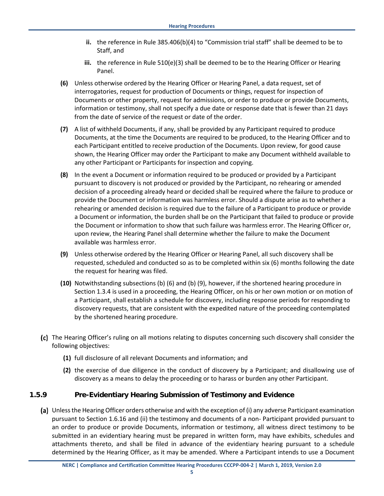- **ii.** the reference in Rule 385.406(b)(4) to "Commission trial staff" shall be deemed to be to Staff, and
- **iii.** the reference in Rule 510(e)(3) shall be deemed to be to the Hearing Officer or Hearing Panel.
- **(6)** Unless otherwise ordered by the Hearing Officer or Hearing Panel, a data request, set of interrogatories, request for production of Documents or things, request for inspection of Documents or other property, request for admissions, or order to produce or provide Documents, information or testimony, shall not specify a due date or response date that is fewer than 21 days from the date of service of the request or date of the order.
- **(7)** A list of withheld Documents, if any, shall be provided by any Participant required to produce Documents, at the time the Documents are required to be produced, to the Hearing Officer and to each Participant entitled to receive production of the Documents. Upon review, for good cause shown, the Hearing Officer may order the Participant to make any Document withheld available to any other Participant or Participants for inspection and copying.
- **(8)** In the event a Document or information required to be produced or provided by a Participant pursuant to discovery is not produced or provided by the Participant, no rehearing or amended decision of a proceeding already heard or decided shall be required where the failure to produce or provide the Document or information was harmless error. Should a dispute arise as to whether a rehearing or amended decision is required due to the failure of a Participant to produce or provide a Document or information, the burden shall be on the Participant that failed to produce or provide the Document or information to show that such failure was harmless error. The Hearing Officer or, upon review, the Hearing Panel shall determine whether the failure to make the Document available was harmless error.
- **(9)** Unless otherwise ordered by the Hearing Officer or Hearing Panel, all such discovery shall be requested, scheduled and conducted so as to be completed within six (6) months following the date the request for hearing was filed.
- **(10)** Notwithstanding subsections (b) (6) and (b) (9), however, if the shortened hearing procedure in Section 1.3.4 is used in a proceeding, the Hearing Officer, on his or her own motion or on motion of a Participant, shall establish a schedule for discovery, including response periods for responding to discovery requests, that are consistent with the expedited nature of the proceeding contemplated by the shortened hearing procedure.
- The Hearing Officer's ruling on all motions relating to disputes concerning such discovery shall consider the following objectives:
	- **(1)** full disclosure of all relevant Documents and information; and
	- **(2)** the exercise of due diligence in the conduct of discovery by a Participant; and disallowing use of discovery as a means to delay the proceeding or to harass or burden any other Participant.

#### <span id="page-38-0"></span>**1.5.9 Pre-Evidentiary Hearing Submission of Testimony and Evidence**

Unless the Hearing Officer orders otherwise and with the exception of (i) any adverse Participant examination pursuant to Section 1.6.16 and (ii) the testimony and documents of a non- Participant provided pursuant to an order to produce or provide Documents, information or testimony, all witness direct testimony to be submitted in an evidentiary hearing must be prepared in written form, may have exhibits, schedules and attachments thereto, and shall be filed in advance of the evidentiary hearing pursuant to a schedule determined by the Hearing Officer, as it may be amended. Where a Participant intends to use a Document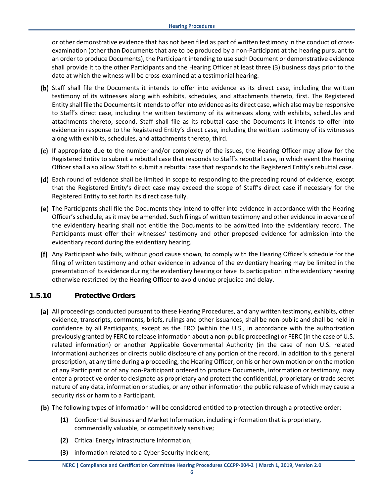or other demonstrative evidence that has not been filed as part of written testimony in the conduct of crossexamination (other than Documents that are to be produced by a non-Participant at the hearing pursuant to an order to produce Documents), the Participant intending to use such Document or demonstrative evidence shall provide it to the other Participants and the Hearing Officer at least three (3) business days prior to the date at which the witness will be cross-examined at a testimonial hearing.

- (b) Staff shall file the Documents it intends to offer into evidence as its direct case, including the written testimony of its witnesses along with exhibits, schedules, and attachments thereto, first. The Registered Entity shall file the Documents it intends to offer into evidence as its direct case, which also may be responsive to Staff's direct case, including the written testimony of its witnesses along with exhibits, schedules and attachments thereto, second. Staff shall file as its rebuttal case the Documents it intends to offer into evidence in response to the Registered Entity's direct case, including the written testimony of its witnesses along with exhibits, schedules, and attachments thereto, third.
- If appropriate due to the number and/or complexity of the issues, the Hearing Officer may allow for the Registered Entity to submit a rebuttal case that responds to Staff's rebuttal case, in which event the Hearing Officer shall also allow Staff to submit a rebuttal case that responds to the Registered Entity's rebuttal case.
- (d) Each round of evidence shall be limited in scope to responding to the preceding round of evidence, except that the Registered Entity's direct case may exceed the scope of Staff's direct case if necessary for the Registered Entity to set forth its direct case fully.
- The Participants shall file the Documents they intend to offer into evidence in accordance with the Hearing Officer's schedule, as it may be amended. Such filings of written testimony and other evidence in advance of the evidentiary hearing shall not entitle the Documents to be admitted into the evidentiary record. The Participants must offer their witnesses' testimony and other proposed evidence for admission into the evidentiary record during the evidentiary hearing.
- Any Participant who fails, without good cause shown, to comply with the Hearing Officer's schedule for the filing of written testimony and other evidence in advance of the evidentiary hearing may be limited in the presentation of its evidence during the evidentiary hearing or have its participation in the evidentiary hearing otherwise restricted by the Hearing Officer to avoid undue prejudice and delay.

#### <span id="page-39-0"></span>**1.5.10 Protective Orders**

- All proceedings conducted pursuant to these Hearing Procedures, and any written testimony, exhibits, other evidence, transcripts, comments, briefs, rulings and other issuances, shall be non-public and shall be held in confidence by all Participants, except as the ERO (within the U.S., in accordance with the authorization previously granted by FERC to release information about a non-public proceeding) or FERC (in the case of U.S. related information) or another Applicable Governmental Authority (in the case of non U.S. related information) authorizes or directs public disclosure of any portion of the record. In addition to this general proscription, at any time during a proceeding, the Hearing Officer, on his or her own motion or on the motion of any Participant or of any non-Participant ordered to produce Documents, information or testimony, may enter a protective order to designate as proprietary and protect the confidential, proprietary or trade secret nature of any data, information or studies, or any other information the public release of which may cause a security risk or harm to a Participant.
- (b) The following types of information will be considered entitled to protection through a protective order:
	- **(1)** Confidential Business and Market Information, including information that is proprietary, commercially valuable, or competitively sensitive;
	- **(2)** Critical Energy Infrastructure Information;
	- **(3)** information related to a Cyber Security Incident;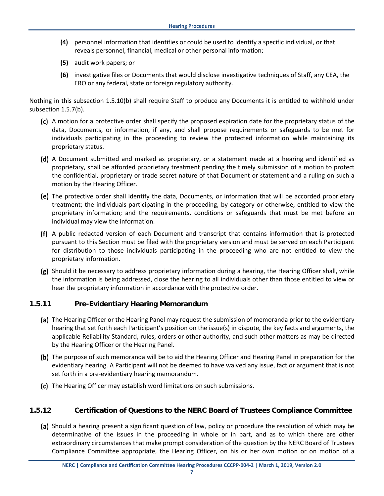- **(4)** personnel information that identifies or could be used to identify a specific individual, or that reveals personnel, financial, medical or other personal information;
- **(5)** audit work papers; or
- **(6)** investigative files or Documents that would disclose investigative techniques of Staff, any CEA, the ERO or any federal, state or foreign regulatory authority.

Nothing in this subsection 1.5.10(b) shall require Staff to produce any Documents it is entitled to withhold under subsection 1.5.7(b).

- A motion for a protective order shall specify the proposed expiration date for the proprietary status of the data, Documents, or information, if any, and shall propose requirements or safeguards to be met for individuals participating in the proceeding to review the protected information while maintaining its proprietary status.
- (d) A Document submitted and marked as proprietary, or a statement made at a hearing and identified as proprietary, shall be afforded proprietary treatment pending the timely submission of a motion to protect the confidential, proprietary or trade secret nature of that Document or statement and a ruling on such a motion by the Hearing Officer.
- (e) The protective order shall identify the data, Documents, or information that will be accorded proprietary treatment; the individuals participating in the proceeding, by category or otherwise, entitled to view the proprietary information; and the requirements, conditions or safeguards that must be met before an individual may view the information.
- A public redacted version of each Document and transcript that contains information that is protected pursuant to this Section must be filed with the proprietary version and must be served on each Participant for distribution to those individuals participating in the proceeding who are not entitled to view the proprietary information.
- (g) Should it be necessary to address proprietary information during a hearing, the Hearing Officer shall, while the information is being addressed, close the hearing to all individuals other than those entitled to view or hear the proprietary information in accordance with the protective order.

#### <span id="page-40-0"></span>**1.5.11 Pre-Evidentiary Hearing Memorandum**

- (a) The Hearing Officer or the Hearing Panel may request the submission of memoranda prior to the evidentiary hearing that set forth each Participant's position on the issue(s) in dispute, the key facts and arguments, the applicable Reliability Standard, rules, orders or other authority, and such other matters as may be directed by the Hearing Officer or the Hearing Panel.
- (b) The purpose of such memoranda will be to aid the Hearing Officer and Hearing Panel in preparation for the evidentiary hearing. A Participant will not be deemed to have waived any issue, fact or argument that is not set forth in a pre-evidentiary hearing memorandum.
- (c) The Hearing Officer may establish word limitations on such submissions.

#### <span id="page-40-1"></span>**1.5.12 Certification of Questions to the NERC Board of Trustees Compliance Committee**

(a) Should a hearing present a significant question of law, policy or procedure the resolution of which may be determinative of the issues in the proceeding in whole or in part, and as to which there are other extraordinary circumstances that make prompt consideration of the question by the NERC Board of Trustees Compliance Committee appropriate, the Hearing Officer, on his or her own motion or on motion of a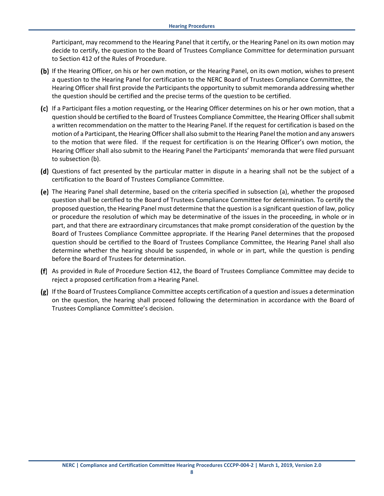Participant, may recommend to the Hearing Panel that it certify, or the Hearing Panel on its own motion may decide to certify, the question to the Board of Trustees Compliance Committee for determination pursuant to Section 412 of the Rules of Procedure.

- (b) If the Hearing Officer, on his or her own motion, or the Hearing Panel, on its own motion, wishes to present a question to the Hearing Panel for certification to the NERC Board of Trustees Compliance Committee, the Hearing Officer shall first provide the Participants the opportunity to submit memoranda addressing whether the question should be certified and the precise terms of the question to be certified.
- (c) If a Participant files a motion requesting, or the Hearing Officer determines on his or her own motion, that a question should be certified to the Board of Trustees Compliance Committee, the Hearing Officer shall submit a written recommendation on the matter to the Hearing Panel. If the request for certification is based on the motion of a Participant, the Hearing Officer shall also submit to the Hearing Panel the motion and any answers to the motion that were filed. If the request for certification is on the Hearing Officer's own motion, the Hearing Officer shall also submit to the Hearing Panel the Participants' memoranda that were filed pursuant to subsection (b).
- (d) Questions of fact presented by the particular matter in dispute in a hearing shall not be the subject of a certification to the Board of Trustees Compliance Committee.
- The Hearing Panel shall determine, based on the criteria specified in subsection (a), whether the proposed question shall be certified to the Board of Trustees Compliance Committee for determination. To certify the proposed question, the Hearing Panel must determine that the question is a significant question of law, policy or procedure the resolution of which may be determinative of the issues in the proceeding, in whole or in part, and that there are extraordinary circumstances that make prompt consideration of the question by the Board of Trustees Compliance Committee appropriate. If the Hearing Panel determines that the proposed question should be certified to the Board of Trustees Compliance Committee, the Hearing Panel shall also determine whether the hearing should be suspended, in whole or in part, while the question is pending before the Board of Trustees for determination.
- As provided in Rule of Procedure Section 412, the Board of Trustees Compliance Committee may decide to reject a proposed certification from a Hearing Panel.
- If the Board of Trustees Compliance Committee accepts certification of a question and issues a determination on the question, the hearing shall proceed following the determination in accordance with the Board of Trustees Compliance Committee's decision.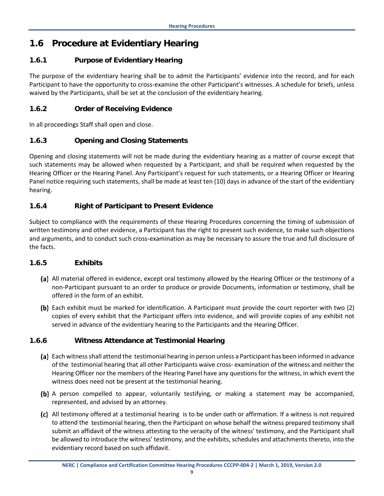## <span id="page-42-0"></span>**1.6 Procedure at Evidentiary Hearing**

#### <span id="page-42-1"></span>**1.6.1 Purpose of Evidentiary Hearing**

The purpose of the evidentiary hearing shall be to admit the Participants' evidence into the record, and for each Participant to have the opportunity to cross-examine the other Participant's witnesses. A schedule for briefs, unless waived by the Participants, shall be set at the conclusion of the evidentiary hearing.

#### <span id="page-42-2"></span>**1.6.2 Order of Receiving Evidence**

In all proceedings Staff shall open and close.

#### <span id="page-42-3"></span>**1.6.3 Opening and Closing Statements**

Opening and closing statements will not be made during the evidentiary hearing as a matter of course except that such statements may be allowed when requested by a Participant, and shall be required when requested by the Hearing Officer or the Hearing Panel. Any Participant's request for such statements, or a Hearing Officer or Hearing Panel notice requiring such statements, shall be made at least ten (10) days in advance of the start of the evidentiary hearing.

#### <span id="page-42-4"></span>**1.6.4 Right of Participant to Present Evidence**

Subject to compliance with the requirements of these Hearing Procedures concerning the timing of submission of written testimony and other evidence, a Participant has the right to present such evidence, to make such objections and arguments, and to conduct such cross-examination as may be necessary to assure the true and full disclosure of the facts.

#### <span id="page-42-5"></span>**1.6.5 Exhibits**

- (a) All material offered in evidence, except oral testimony allowed by the Hearing Officer or the testimony of a non-Participant pursuant to an order to produce or provide Documents, information or testimony, shall be offered in the form of an exhibit.
- (b) Each exhibit must be marked for identification. A Participant must provide the court reporter with two (2) copies of every exhibit that the Participant offers into evidence, and will provide copies of any exhibit not served in advance of the evidentiary hearing to the Participants and the Hearing Officer.

#### <span id="page-42-6"></span>**1.6.6 Witness Attendance at Testimonial Hearing**

- (a) Each witness shall attend the testimonial hearing in person unless a Participant has been informed in advance of the testimonial hearing that all other Participants waive cross- examination of the witness and neither the Hearing Officer nor the members of the Hearing Panel have any questions for the witness, in which event the witness does need not be present at the testimonial hearing.
- (b) A person compelled to appear, voluntarily testifying, or making a statement may be accompanied, represented, and advised by an attorney.
- All testimony offered at a testimonial hearing is to be under oath or affirmation. If a witness is not required to attend the testimonial hearing, then the Participant on whose behalf the witness prepared testimony shall submit an affidavit of the witness attesting to the veracity of the witness' testimony, and the Participant shall be allowed to introduce the witness' testimony, and the exhibits, schedules and attachments thereto, into the evidentiary record based on such affidavit.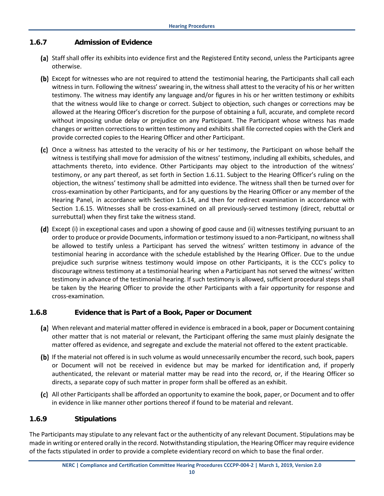#### <span id="page-43-0"></span>**1.6.7 Admission of Evidence**

- (a) Staff shall offer its exhibits into evidence first and the Registered Entity second, unless the Participants agree otherwise.
- (b) Except for witnesses who are not required to attend the testimonial hearing, the Participants shall call each witness in turn. Following the witness' swearing in, the witness shall attest to the veracity of his or her written testimony. The witness may identify any language and/or figures in his or her written testimony or exhibits that the witness would like to change or correct. Subject to objection, such changes or corrections may be allowed at the Hearing Officer's discretion for the purpose of obtaining a full, accurate, and complete record without imposing undue delay or prejudice on any Participant. The Participant whose witness has made changes or written corrections to written testimony and exhibits shall file corrected copies with the Clerk and provide corrected copies to the Hearing Officer and other Participant.
- (c) Once a witness has attested to the veracity of his or her testimony, the Participant on whose behalf the witness is testifying shall move for admission of the witness' testimony, including all exhibits, schedules, and attachments thereto, into evidence. Other Participants may object to the introduction of the witness' testimony, or any part thereof, as set forth in Section 1.6.11. Subject to the Hearing Officer's ruling on the objection, the witness' testimony shall be admitted into evidence. The witness shall then be turned over for cross-examination by other Participants, and for any questions by the Hearing Officer or any member of the Hearing Panel, in accordance with Section 1.6.14, and then for redirect examination in accordance with Section 1.6.15. Witnesses shall be cross-examined on all previously-served testimony (direct, rebuttal or surrebuttal) when they first take the witness stand.
- (d) Except (i) in exceptional cases and upon a showing of good cause and (ii) witnesses testifying pursuant to an order to produce or provide Documents, information or testimony issued to a non-Participant, no witness shall be allowed to testify unless a Participant has served the witness' written testimony in advance of the testimonial hearing in accordance with the schedule established by the Hearing Officer. Due to the undue prejudice such surprise witness testimony would impose on other Participants, it is the CCC's policy to discourage witness testimony at a testimonial hearing when a Participant has not served the witness' written testimony in advance of the testimonial hearing. If such testimony is allowed, sufficient procedural steps shall be taken by the Hearing Officer to provide the other Participants with a fair opportunity for response and cross-examination.

#### <span id="page-43-1"></span>**1.6.8 Evidence that is Part of a Book, Paper or Document**

- When relevant and material matter offered in evidence is embraced in a book, paper or Document containing other matter that is not material or relevant, the Participant offering the same must plainly designate the matter offered as evidence, and segregate and exclude the material not offered to the extent practicable.
- (b) If the material not offered is in such volume as would unnecessarily encumber the record, such book, papers or Document will not be received in evidence but may be marked for identification and, if properly authenticated, the relevant or material matter may be read into the record, or, if the Hearing Officer so directs, a separate copy of such matter in proper form shall be offered as an exhibit.
- All other Participants shall be afforded an opportunity to examine the book, paper, or Document and to offer in evidence in like manner other portions thereof if found to be material and relevant.

#### <span id="page-43-2"></span>**1.6.9 Stipulations**

The Participants may stipulate to any relevant fact or the authenticity of any relevant Document. Stipulations may be made in writing or entered orally in the record. Notwithstanding stipulation, the Hearing Officer may require evidence of the facts stipulated in order to provide a complete evidentiary record on which to base the final order.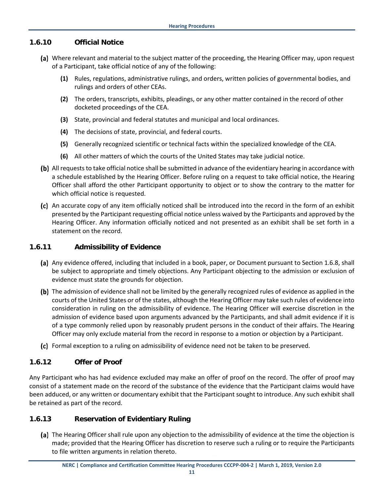#### <span id="page-44-0"></span>**1.6.10 Official Notice**

- (a) Where relevant and material to the subject matter of the proceeding, the Hearing Officer may, upon request of a Participant, take official notice of any of the following:
	- **(1)** Rules, regulations, administrative rulings, and orders, written policies of governmental bodies, and rulings and orders of other CEAs.
	- **(2)** The orders, transcripts, exhibits, pleadings, or any other matter contained in the record of other docketed proceedings of the CEA.
	- **(3)** State, provincial and federal statutes and municipal and local ordinances.
	- **(4)** The decisions of state, provincial, and federal courts.
	- **(5)** Generally recognized scientific or technical facts within the specialized knowledge of the CEA.
	- **(6)** All other matters of which the courts of the United States may take judicial notice.
- (b) All requests to take official notice shall be submitted in advance of the evidentiary hearing in accordance with a schedule established by the Hearing Officer. Before ruling on a request to take official notice, the Hearing Officer shall afford the other Participant opportunity to object or to show the contrary to the matter for which official notice is requested.
- (c) An accurate copy of any item officially noticed shall be introduced into the record in the form of an exhibit presented by the Participant requesting official notice unless waived by the Participants and approved by the Hearing Officer. Any information officially noticed and not presented as an exhibit shall be set forth in a statement on the record.

#### <span id="page-44-1"></span>**1.6.11 Admissibility of Evidence**

- (a) Any evidence offered, including that included in a book, paper, or Document pursuant to Section 1.6.8, shall be subject to appropriate and timely objections. Any Participant objecting to the admission or exclusion of evidence must state the grounds for objection.
- (b) The admission of evidence shall not be limited by the generally recognized rules of evidence as applied in the courts of the United States or of the states, although the Hearing Officer may take such rules of evidence into consideration in ruling on the admissibility of evidence. The Hearing Officer will exercise discretion in the admission of evidence based upon arguments advanced by the Participants, and shall admit evidence if it is of a type commonly relied upon by reasonably prudent persons in the conduct of their affairs. The Hearing Officer may only exclude material from the record in response to a motion or objection by a Participant.
- Formal exception to a ruling on admissibility of evidence need not be taken to be preserved.

#### <span id="page-44-2"></span>**1.6.12 Offer of Proof**

Any Participant who has had evidence excluded may make an offer of proof on the record. The offer of proof may consist of a statement made on the record of the substance of the evidence that the Participant claims would have been adduced, or any written or documentary exhibit that the Participant sought to introduce. Any such exhibit shall be retained as part of the record.

#### <span id="page-44-3"></span>**1.6.13 Reservation of Evidentiary Ruling**

(a) The Hearing Officer shall rule upon any objection to the admissibility of evidence at the time the objection is made; provided that the Hearing Officer has discretion to reserve such a ruling or to require the Participants to file written arguments in relation thereto.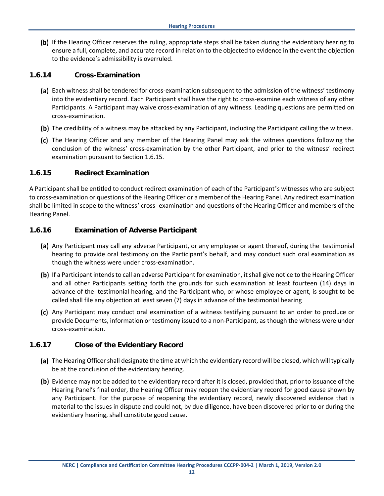(b) If the Hearing Officer reserves the ruling, appropriate steps shall be taken during the evidentiary hearing to ensure a full, complete, and accurate record in relation to the objected to evidence in the event the objection to the evidence's admissibility is overruled.

#### <span id="page-45-0"></span>**1.6.14 Cross-Examination**

- (a) Each witness shall be tendered for cross-examination subsequent to the admission of the witness' testimony into the evidentiary record. Each Participant shall have the right to cross-examine each witness of any other Participants. A Participant may waive cross-examination of any witness. Leading questions are permitted on cross-examination.
- (b) The credibility of a witness may be attacked by any Participant, including the Participant calling the witness.
- (c) The Hearing Officer and any member of the Hearing Panel may ask the witness questions following the conclusion of the witness' cross-examination by the other Participant, and prior to the witness' redirect examination pursuant to Section 1.6.15.

#### <span id="page-45-1"></span>**1.6.15 Redirect Examination**

A Participant shall be entitled to conduct redirect examination of each of the Participant's witnesses who are subject to cross-examination or questions of the Hearing Officer or a member of the Hearing Panel. Any redirect examination shall be limited in scope to the witness' cross- examination and questions of the Hearing Officer and members of the Hearing Panel.

#### <span id="page-45-2"></span>**1.6.16 Examination of Adverse Participant**

- (a) Any Participant may call any adverse Participant, or any employee or agent thereof, during the testimonial hearing to provide oral testimony on the Participant's behalf, and may conduct such oral examination as though the witness were under cross-examination.
- (b) If a Participant intends to call an adverse Participant for examination, it shall give notice to the Hearing Officer and all other Participants setting forth the grounds for such examination at least fourteen (14) days in advance of the testimonial hearing, and the Participant who, or whose employee or agent, is sought to be called shall file any objection at least seven (7) days in advance of the testimonial hearing
- Any Participant may conduct oral examination of a witness testifying pursuant to an order to produce or provide Documents, information or testimony issued to a non-Participant, as though the witness were under cross-examination.

#### <span id="page-45-3"></span>**1.6.17 Close of the Evidentiary Record**

- (a) The Hearing Officer shall designate the time at which the evidentiary record will be closed, which will typically be at the conclusion of the evidentiary hearing.
- (b) Evidence may not be added to the evidentiary record after it is closed, provided that, prior to issuance of the Hearing Panel's final order, the Hearing Officer may reopen the evidentiary record for good cause shown by any Participant. For the purpose of reopening the evidentiary record, newly discovered evidence that is material to the issues in dispute and could not, by due diligence, have been discovered prior to or during the evidentiary hearing, shall constitute good cause.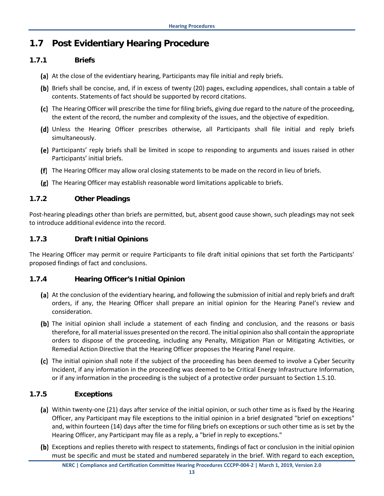## <span id="page-46-0"></span>**1.7 Post Evidentiary Hearing Procedure**

#### <span id="page-46-1"></span>**1.7.1 Briefs**

- (a) At the close of the evidentiary hearing, Participants may file initial and reply briefs.
- (b) Briefs shall be concise, and, if in excess of twenty (20) pages, excluding appendices, shall contain a table of contents. Statements of fact should be supported by record citations.
- (c) The Hearing Officer will prescribe the time for filing briefs, giving due regard to the nature of the proceeding, the extent of the record, the number and complexity of the issues, and the objective of expedition.
- (d) Unless the Hearing Officer prescribes otherwise, all Participants shall file initial and reply briefs simultaneously.
- Participants' reply briefs shall be limited in scope to responding to arguments and issues raised in other Participants' initial briefs.
- The Hearing Officer may allow oral closing statements to be made on the record in lieu of briefs.
- The Hearing Officer may establish reasonable word limitations applicable to briefs.

#### <span id="page-46-2"></span>**1.7.2 Other Pleadings**

Post-hearing pleadings other than briefs are permitted, but, absent good cause shown, such pleadings may not seek to introduce additional evidence into the record.

#### <span id="page-46-3"></span>**1.7.3 Draft Initial Opinions**

The Hearing Officer may permit or require Participants to file draft initial opinions that set forth the Participants' proposed findings of fact and conclusions.

#### <span id="page-46-4"></span>**1.7.4 Hearing Officer's Initial Opinion**

- (a) At the conclusion of the evidentiary hearing, and following the submission of initial and reply briefs and draft orders, if any, the Hearing Officer shall prepare an initial opinion for the Hearing Panel's review and consideration.
- (b) The initial opinion shall include a statement of each finding and conclusion, and the reasons or basis therefore, for all material issues presented on the record. The initial opinion also shall contain the appropriate orders to dispose of the proceeding, including any Penalty, Mitigation Plan or Mitigating Activities, or Remedial Action Directive that the Hearing Officer proposes the Hearing Panel require.
- (c) The initial opinion shall note if the subject of the proceeding has been deemed to involve a Cyber Security Incident, if any information in the proceeding was deemed to be Critical Energy Infrastructure Information, or if any information in the proceeding is the subject of a protective order pursuant to Section 1.5.10.

#### <span id="page-46-5"></span>**1.7.5 Exceptions**

- (a) Within twenty-one (21) days after service of the initial opinion, or such other time as is fixed by the Hearing Officer, any Participant may file exceptions to the initial opinion in a brief designated "brief on exceptions" and, within fourteen (14) days after the time for filing briefs on exceptions or such other time as is set by the Hearing Officer, any Participant may file as a reply, a "brief in reply to exceptions."
- (b) Exceptions and replies thereto with respect to statements, findings of fact or conclusion in the initial opinion must be specific and must be stated and numbered separately in the brief. With regard to each exception,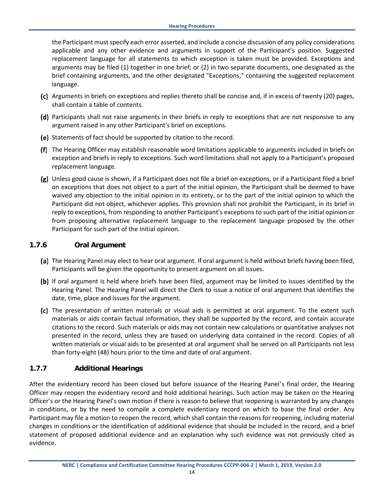the Participant must specify each error asserted, and include a concise discussion of any policy considerations applicable and any other evidence and arguments in support of the Participant's position. Suggested replacement language for all statements to which exception is taken must be provided. Exceptions and arguments may be filed (1) together in one brief; or (2) in two separate documents, one designated as the brief containing arguments, and the other designated "Exceptions," containing the suggested replacement language.

- (c) Arguments in briefs on exceptions and replies thereto shall be concise and, if in excess of twenty (20) pages, shall contain a table of contents.
- (d) Participants shall not raise arguments in their briefs in reply to exceptions that are not responsive to any argument raised in any other Participant's brief on exceptions.
- (e) Statements of fact should be supported by citation to the record.
- The Hearing Officer may establish reasonable word limitations applicable to arguments included in briefs on exception and briefs in reply to exceptions. Such word limitations shall not apply to a Participant's proposed replacement language.
- Unless good cause is shown, if a Participant does not file a brief on exceptions, or if a Participant filed a brief on exceptions that does not object to a part of the initial opinion, the Participant shall be deemed to have waived any objection to the initial opinion in its entirety, or to the part of the initial opinion to which the Participant did not object, whichever applies. This provision shall not prohibit the Participant, in its brief in reply to exceptions, from responding to another Participant's exceptions to such part of the initial opinion or from proposing alternative replacement language to the replacement language proposed by the other Participant for such part of the initial opinion.

#### <span id="page-47-0"></span>**1.7.6 Oral Argument**

- (a) The Hearing Panel may elect to hear oral argument. If oral argument is held without briefs having been filed, Participants will be given the opportunity to present argument on all issues.
- (b) If oral argument is held where briefs have been filed, argument may be limited to issues identified by the Hearing Panel. The Hearing Panel will direct the Clerk to issue a notice of oral argument that identifies the date, time, place and issues for the argument.
- The presentation of written materials or visual aids is permitted at oral argument. To the extent such materials or aids contain factual information, they shall be supported by the record, and contain accurate citations to the record. Such materials or aids may not contain new calculations or quantitative analyses not presented in the record, unless they are based on underlying data contained in the record. Copies of all written materials or visual aids to be presented at oral argument shall be served on all Participants not less than forty-eight (48) hours prior to the time and date of oral argument.

#### <span id="page-47-1"></span>**1.7.7 Additional Hearings**

After the evidentiary record has been closed but before issuance of the Hearing Panel's final order, the Hearing Officer may reopen the evidentiary record and hold additional hearings. Such action may be taken on the Hearing Officer's or the Hearing Panel's own motion if there is reason to believe that reopening is warranted by any changes in conditions, or by the need to compile a complete evidentiary record on which to base the final order. Any Participant may file a motion to reopen the record, which shall contain the reasons for reopening, including material changes in conditions or the identification of additional evidence that should be included in the record, and a brief statement of proposed additional evidence and an explanation why such evidence was not previously cited as evidence.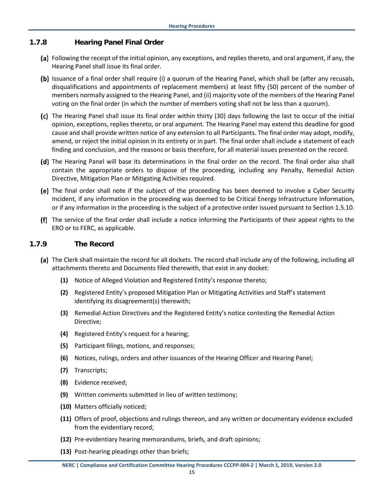#### <span id="page-48-0"></span>**1.7.8 Hearing Panel Final Order**

- Following the receipt of the initial opinion, any exceptions, and replies thereto, and oral argument, if any, the Hearing Panel shall issue its final order.
- (b) Issuance of a final order shall require (i) a quorum of the Hearing Panel, which shall be (after any recusals, disqualifications and appointments of replacement members) at least fifty (50) percent of the number of members normally assigned to the Hearing Panel, and (ii) majority vote of the members of the Hearing Panel voting on the final order (in which the number of members voting shall not be less than a quorum).
- The Hearing Panel shall issue its final order within thirty (30) days following the last to occur of the initial opinion, exceptions, replies thereto, or oral argument. The Hearing Panel may extend this deadline for good cause and shall provide written notice of any extension to all Participants. The final order may adopt, modify, amend, or reject the initial opinion in its entirety or in part. The final order shall include a statement of each finding and conclusion, and the reasons or basis therefore, for all material issues presented on the record.
- (d) The Hearing Panel will base its determinations in the final order on the record. The final order also shall contain the appropriate orders to dispose of the proceeding, including any Penalty, Remedial Action Directive, Mitigation Plan or Mitigating Activities required.
- The final order shall note if the subject of the proceeding has been deemed to involve a Cyber Security Incident, if any information in the proceeding was deemed to be Critical Energy Infrastructure Information, or if any information in the proceeding is the subject of a protective order issued pursuant to Section 1.5.10.
- <span id="page-48-1"></span>The service of the final order shall include a notice informing the Participants of their appeal rights to the ERO or to FERC, as applicable.

#### **1.7.9 The Record**

- (a) The Clerk shall maintain the record for all dockets. The record shall include any of the following, including all attachments thereto and Documents filed therewith, that exist in any docket:
	- **(1)** Notice of Alleged Violation and Registered Entity's response thereto;
	- **(2)** Registered Entity's proposed Mitigation Plan or Mitigating Activities and Staff's statement identifying its disagreement(s) therewith;
	- **(3)** Remedial Action Directives and the Registered Entity's notice contesting the Remedial Action Directive;
	- **(4)** Registered Entity's request for a hearing;
	- **(5)** Participant filings, motions, and responses;
	- **(6)** Notices, rulings, orders and other issuances of the Hearing Officer and Hearing Panel;
	- **(7)** Transcripts;
	- **(8)** Evidence received;
	- **(9)** Written comments submitted in lieu of written testimony;
	- **(10)** Matters officially noticed;
	- **(11)** Offers of proof, objections and rulings thereon, and any written or documentary evidence excluded from the evidentiary record;
	- **(12)** Pre-evidentiary hearing memorandums, briefs, and draft opinions;
	- **(13)** Post-hearing pleadings other than briefs;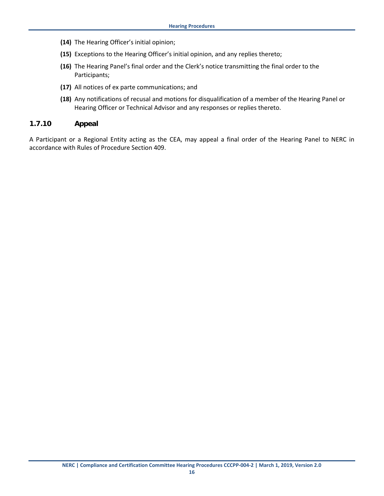- **(14)** The Hearing Officer's initial opinion;
- **(15)** Exceptions to the Hearing Officer's initial opinion, and any replies thereto;
- **(16)** The Hearing Panel's final order and the Clerk's notice transmitting the final order to the Participants;
- **(17)** All notices of ex parte communications; and
- **(18)** Any notifications of recusal and motions for disqualification of a member of the Hearing Panel or Hearing Officer or Technical Advisor and any responses or replies thereto.

#### <span id="page-49-0"></span>**1.7.10 Appeal**

A Participant or a Regional Entity acting as the CEA, may appeal a final order of the Hearing Panel to NERC in accordance with Rules of Procedure Section 409.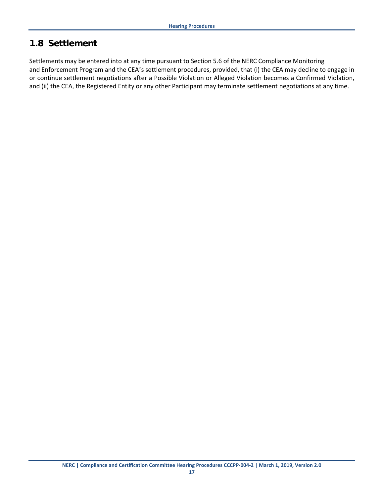## <span id="page-50-0"></span>**1.8 Settlement**

Settlements may be entered into at any time pursuant to Section 5.6 of the NERC Compliance Monitoring and Enforcement Program and the CEA's settlement procedures, provided, that (i) the CEA may decline to engage in or continue settlement negotiations after a Possible Violation or Alleged Violation becomes a Confirmed Violation, and (ii) the CEA, the Registered Entity or any other Participant may terminate settlement negotiations at any time.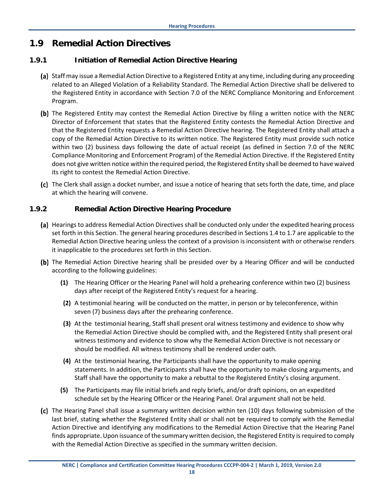## <span id="page-51-0"></span>**1.9 Remedial Action Directives**

#### <span id="page-51-1"></span>**1.9.1 Initiation of Remedial Action Directive Hearing**

- (a) Staff may issue a Remedial Action Directive to a Registered Entity at any time, including during any proceeding related to an Alleged Violation of a Reliability Standard. The Remedial Action Directive shall be delivered to the Registered Entity in accordance with Section 7.0 of the NERC Compliance Monitoring and Enforcement Program.
- (b) The Registered Entity may contest the Remedial Action Directive by filing a written notice with the NERC Director of Enforcement that states that the Registered Entity contests the Remedial Action Directive and that the Registered Entity requests a Remedial Action Directive hearing. The Registered Entity shall attach a copy of the Remedial Action Directive to its written notice. The Registered Entity must provide such notice within two (2) business days following the date of actual receipt (as defined in Section 7.0 of the NERC Compliance Monitoring and Enforcement Program) of the Remedial Action Directive. If the Registered Entity does not give written notice within the required period, the Registered Entity shall be deemed to have waived its right to contest the Remedial Action Directive.
- The Clerk shall assign a docket number, and issue a notice of hearing that sets forth the date, time, and place at which the hearing will convene.

#### <span id="page-51-2"></span>**1.9.2 Remedial Action Directive Hearing Procedure**

- (a) Hearings to address Remedial Action Directives shall be conducted only under the expedited hearing process set forth in this Section. The general hearing procedures described in Sections 1.4 to 1.7 are applicable to the Remedial Action Directive hearing unless the context of a provision is inconsistent with or otherwise renders it inapplicable to the procedures set forth in this Section.
- (b) The Remedial Action Directive hearing shall be presided over by a Hearing Officer and will be conducted according to the following guidelines:
	- **(1)** The Hearing Officer or the Hearing Panel will hold a prehearing conference within two (2) business days after receipt of the Registered Entity's request for a hearing.
	- **(2)** A testimonial hearing will be conducted on the matter, in person or by teleconference, within seven (7) business days after the prehearing conference.
	- **(3)** At the testimonial hearing, Staff shall present oral witness testimony and evidence to show why the Remedial Action Directive should be complied with, and the Registered Entity shall present oral witness testimony and evidence to show why the Remedial Action Directive is not necessary or should be modified. All witness testimony shall be rendered under oath.
	- **(4)** At the testimonial hearing, the Participants shall have the opportunity to make opening statements. In addition, the Participants shall have the opportunity to make closing arguments, and Staff shall have the opportunity to make a rebuttal to the Registered Entity's closing argument.
	- **(5)** The Participants may file initial briefs and reply briefs, and/or draft opinions, on an expedited schedule set by the Hearing Officer or the Hearing Panel. Oral argument shall not be held.
- The Hearing Panel shall issue a summary written decision within ten (10) days following submission of the last brief, stating whether the Registered Entity shall or shall not be required to comply with the Remedial Action Directive and identifying any modifications to the Remedial Action Directive that the Hearing Panel finds appropriate. Upon issuance of the summary written decision, the Registered Entity is required to comply with the Remedial Action Directive as specified in the summary written decision.